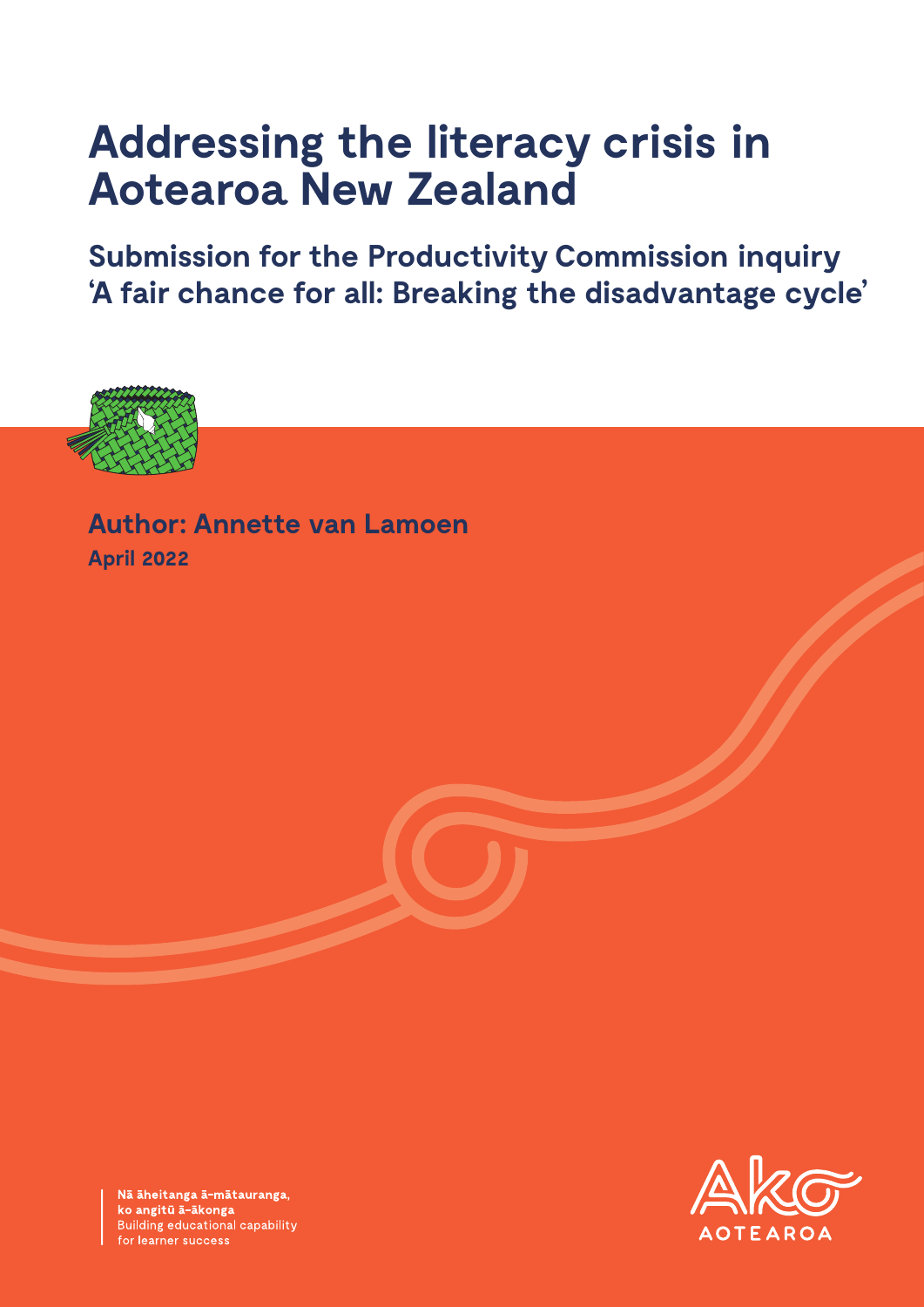# **Addressing the literacy crisis in Aotearoa New Zealand**

**Submission for the Productivity Commission inquiry 'A fair chance for all: Breaking the disadvantage cycle'**



**Author: Annette van Lamoen April 2022**



Nā āheitanga ā-mātauranga,<br>ko angitū ā-ākonga Building educational capability for learner success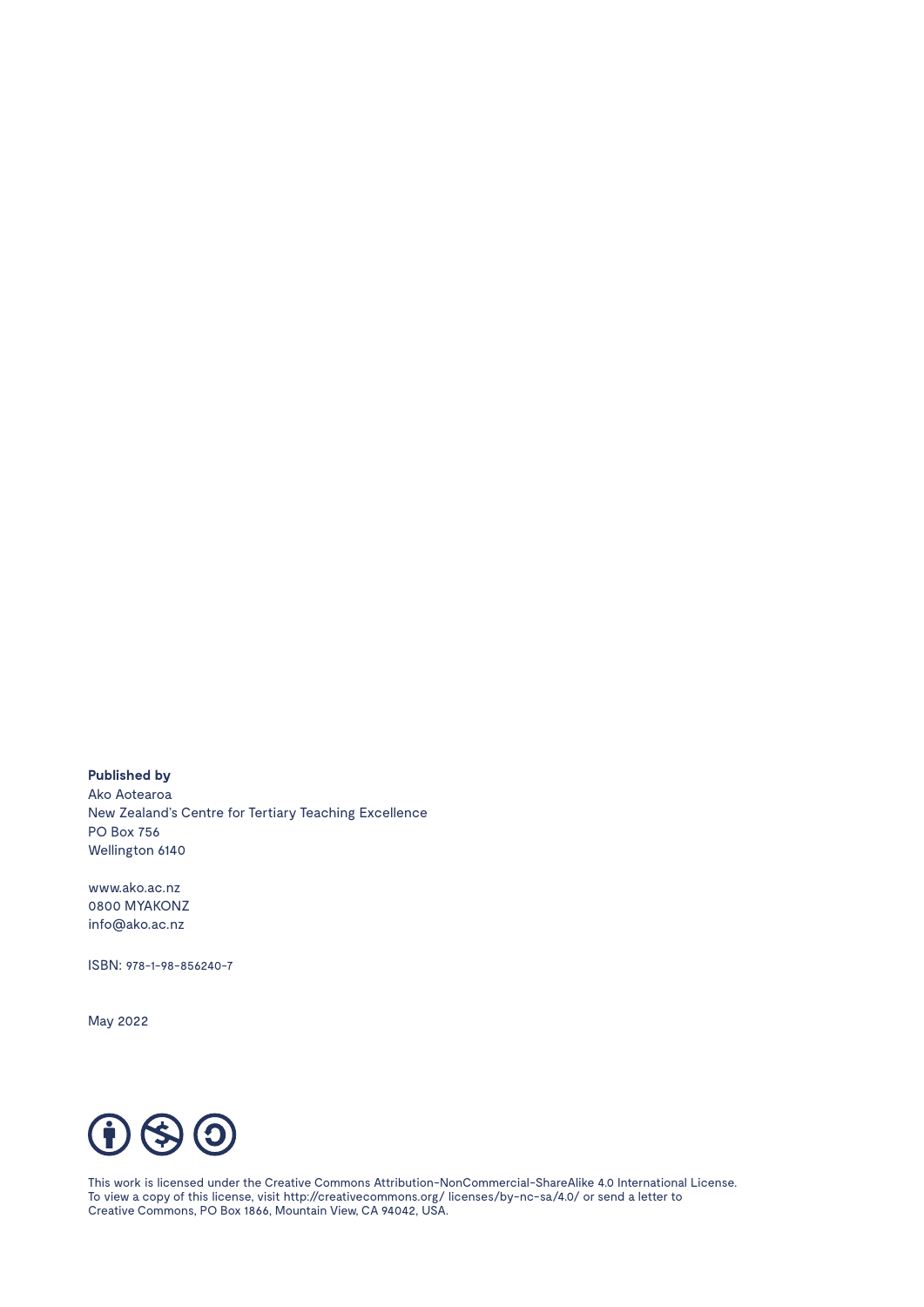**Published by** Ako Aotearoa New Zealand's Centre for Tertiary Teaching Excellence PO Box 756 Wellington 6140

www.ako.ac.nz 0800 MYAKONZ info@ako.ac.nz

ISBN: 978-1-98-856240-7

May 2022



This work is licensed under the Creative Commons Attribution-NonCommercial-ShareAlike 4.0 International License. To view a copy of this license, visit http://creativecommons.org/ licenses/by-nc-sa/4.0/ or send a letter to Creative Commons, PO Box 1866, Mountain View, CA 94042, USA.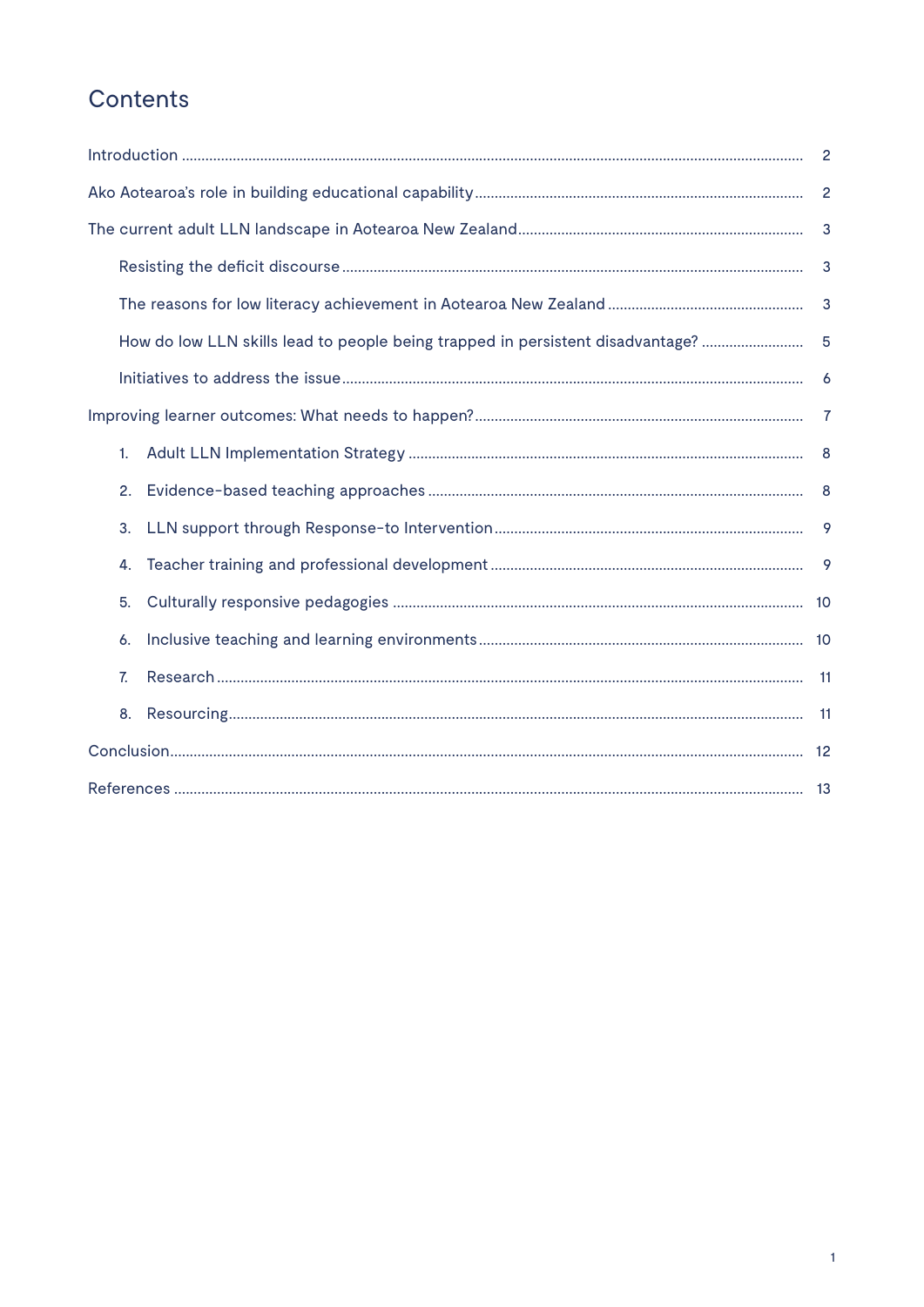# Contents

|  | 3  |                                                                                |              |  |  |  |
|--|----|--------------------------------------------------------------------------------|--------------|--|--|--|
|  |    |                                                                                | 3            |  |  |  |
|  |    |                                                                                | $\mathbf{3}$ |  |  |  |
|  |    | How do low LLN skills lead to people being trapped in persistent disadvantage? | $-5$         |  |  |  |
|  |    |                                                                                | 6            |  |  |  |
|  |    |                                                                                |              |  |  |  |
|  | 1. |                                                                                |              |  |  |  |
|  |    |                                                                                |              |  |  |  |
|  | 3. |                                                                                | 9            |  |  |  |
|  | 4. |                                                                                |              |  |  |  |
|  | 5. |                                                                                |              |  |  |  |
|  | 6. |                                                                                |              |  |  |  |
|  | 7. |                                                                                | $-11$        |  |  |  |
|  | 8. |                                                                                |              |  |  |  |
|  |    |                                                                                |              |  |  |  |
|  |    |                                                                                |              |  |  |  |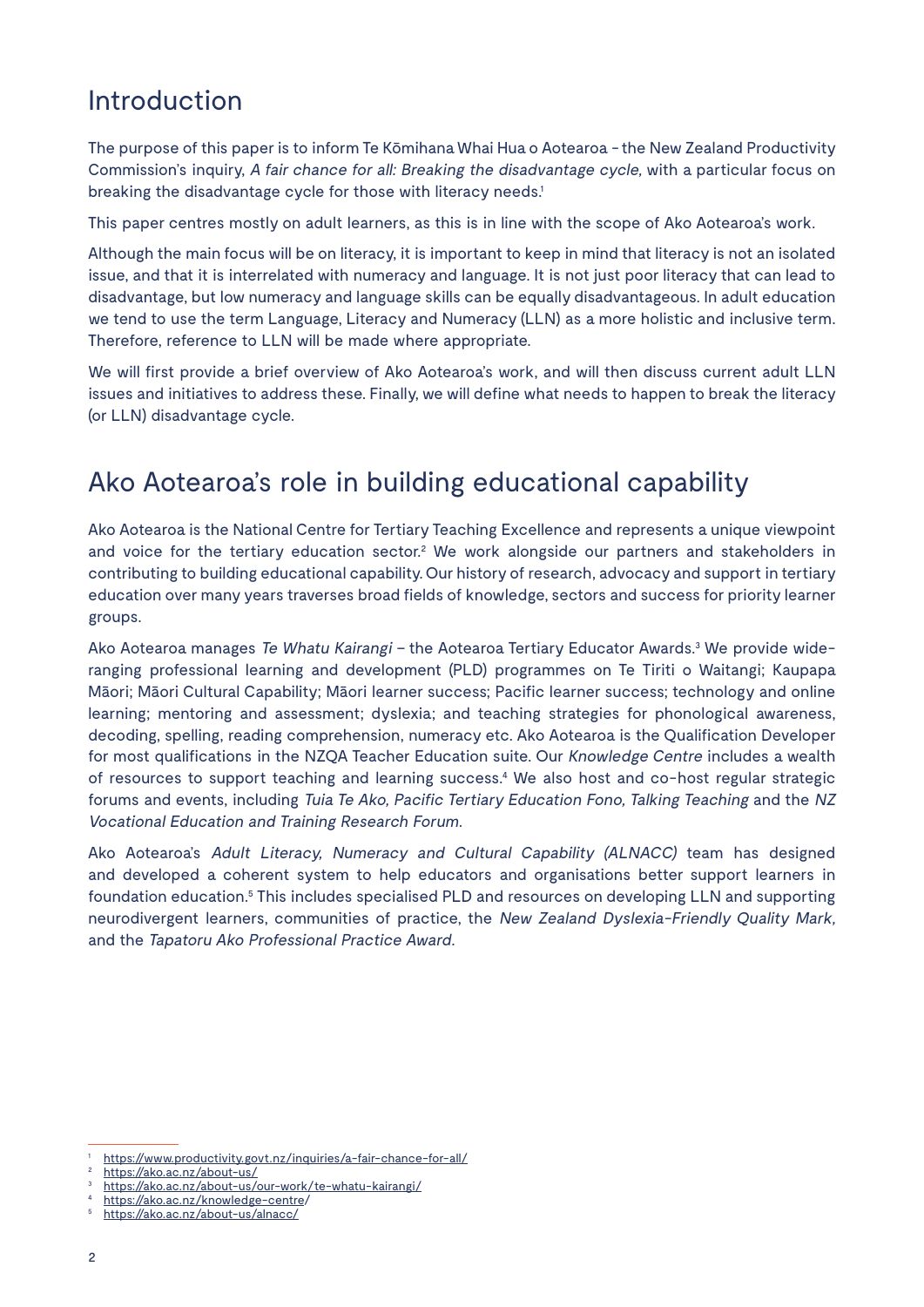### Introduction

The purpose of this paper is to inform Te Kōmihana Whai Hua o Aotearoa - the New Zealand Productivity Commission's inquiry, A fair chance for all: Breaking the disadvantage cycle, with a particular focus on breaking the disadvantage cycle for those with literacy needs.<sup>1</sup>

This paper centres mostly on adult learners, as this is in line with the scope of Ako Aotearoa's work.

Although the main focus will be on literacy, it is important to keep in mind that literacy is not an isolated issue, and that it is interrelated with numeracy and language. It is not just poor literacy that can lead to disadvantage, but low numeracy and language skills can be equally disadvantageous. In adult education we tend to use the term Language, Literacy and Numeracy (LLN) as a more holistic and inclusive term. Therefore, reference to LLN will be made where appropriate.

We will first provide a brief overview of Ako Aotearoa's work, and will then discuss current adult LLN issues and initiatives to address these. Finally, we will define what needs to happen to break the literacy (or LLN) disadvantage cycle.

## Ako Aotearoa's role in building educational capability

Ako Aotearoa is the National Centre for Tertiary Teaching Excellence and represents a unique viewpoint and voice for the tertiary education sector.<sup>2</sup> We work alongside our partners and stakeholders in contributing to building educational capability. Our history of research, advocacy and support in tertiary education over many years traverses broad fields of knowledge, sectors and success for priority learner groups.

Ako Aotearoa manages *Te Whatu Kairangi* – the Aotearoa Tertiary Educator Awards.<sup>3</sup> We provide wideranging professional learning and development (PLD) programmes on Te Tiriti o Waitangi; Kaupapa Māori; Māori Cultural Capability; Māori learner success; Pacific learner success; technology and online learning; mentoring and assessment; dyslexia; and teaching strategies for phonological awareness, decoding, spelling, reading comprehension, numeracy etc. Ako Aotearoa is the Qualification Developer for most qualifications in the NZQA Teacher Education suite. Our Knowledge Centre includes a wealth of resources to support teaching and learning success.<sup>4</sup> We also host and co-host regular strategic forums and events, including Tuia Te Ako, Pacific Tertiary Education Fono, Talking Teaching and the NZ Vocational Education and Training Research Forum.

Ako Aotearoa's Adult Literacy, Numeracy and Cultural Capability (ALNACC) team has designed and developed a coherent system to help educators and organisations better support learners in foundation education.<sup>5</sup> This includes specialised PLD and resources on developing LLN and supporting neurodivergent learners, communities of practice, the New Zealand Dyslexia-Friendly Quality Mark, and the Tapatoru Ako Professional Practice Award.

<sup>1</sup> https://www.productivity.govt.nz/inquiries/a-fair-chance-for-all/

https://ako.ac.nz/about-us/

https://ako.ac.nz/about-us/our-work/te-whatu-kairangi/

https://ako.ac.nz/knowledge-centre/

https://ako.ac.nz/about-us/alnacc/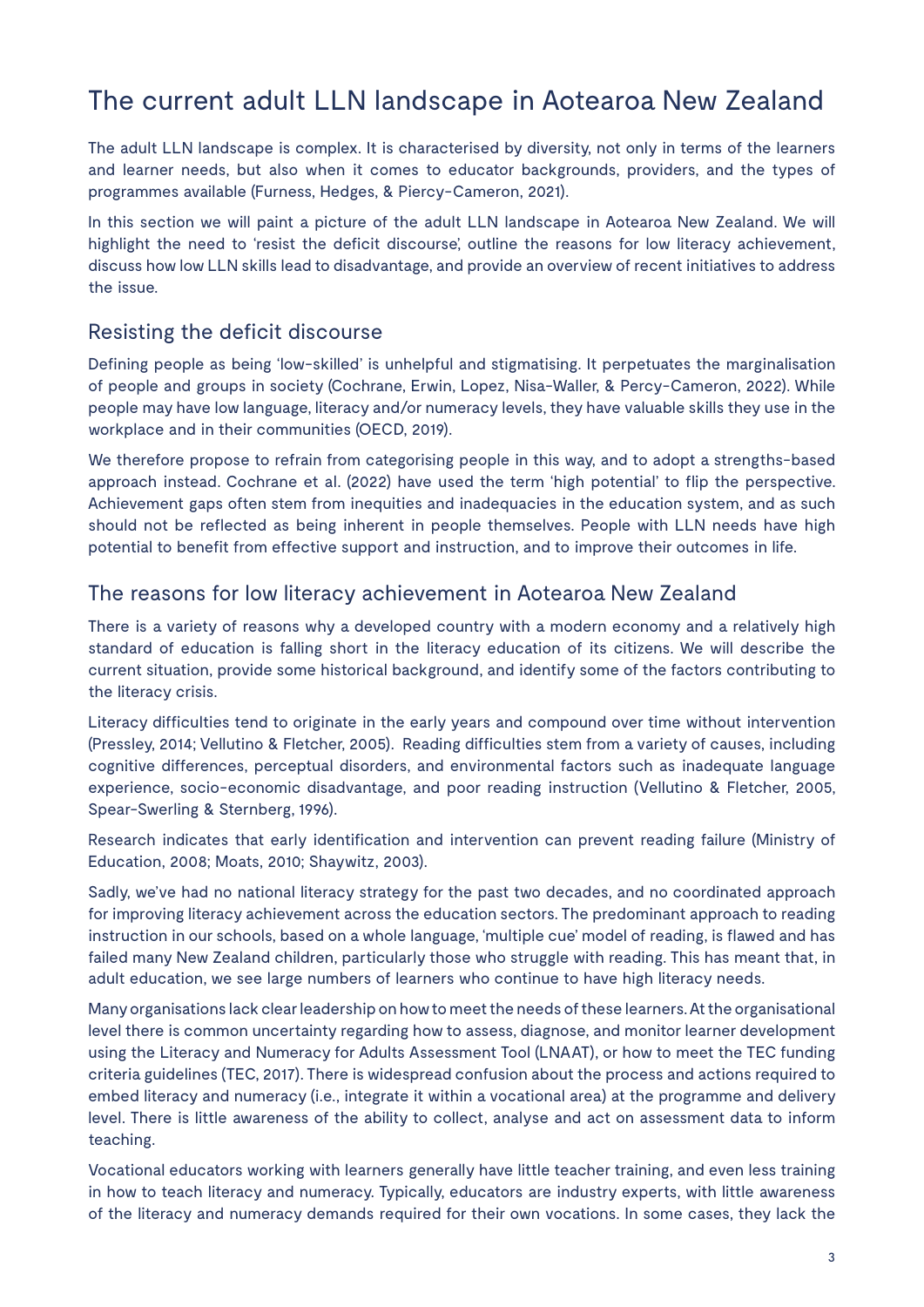# The current adult LLN landscape in Aotearoa New Zealand

The adult LLN landscape is complex. It is characterised by diversity, not only in terms of the learners and learner needs, but also when it comes to educator backgrounds, providers, and the types of programmes available (Furness, Hedges, & Piercy-Cameron, 2021).

In this section we will paint a picture of the adult LLN landscape in Aotearoa New Zealand. We will highlight the need to 'resist the deficit discourse', outline the reasons for low literacy achievement, discuss how low LLN skills lead to disadvantage, and provide an overview of recent initiatives to address the issue.

### Resisting the deficit discourse

Defining people as being 'low-skilled' is unhelpful and stigmatising. It perpetuates the marginalisation of people and groups in society (Cochrane, Erwin, Lopez, Nisa-Waller, & Percy-Cameron, 2022). While people may have low language, literacy and/or numeracy levels, they have valuable skills they use in the workplace and in their communities (OECD, 2019).

We therefore propose to refrain from categorising people in this way, and to adopt a strengths-based approach instead. Cochrane et al. (2022) have used the term 'high potential' to flip the perspective. Achievement gaps often stem from inequities and inadequacies in the education system, and as such should not be reflected as being inherent in people themselves. People with LLN needs have high potential to benefit from effective support and instruction, and to improve their outcomes in life.

### The reasons for low literacy achievement in Aotearoa New Zealand

There is a variety of reasons why a developed country with a modern economy and a relatively high standard of education is falling short in the literacy education of its citizens. We will describe the current situation, provide some historical background, and identify some of the factors contributing to the literacy crisis.

Literacy difficulties tend to originate in the early years and compound over time without intervention (Pressley, 2014; Vellutino & Fletcher, 2005). Reading difficulties stem from a variety of causes, including cognitive differences, perceptual disorders, and environmental factors such as inadequate language experience, socio-economic disadvantage, and poor reading instruction (Vellutino & Fletcher, 2005, Spear-Swerling & Sternberg, 1996).

Research indicates that early identification and intervention can prevent reading failure (Ministry of Education, 2008; Moats, 2010; Shaywitz, 2003).

Sadly, we've had no national literacy strategy for the past two decades, and no coordinated approach for improving literacy achievement across the education sectors. The predominant approach to reading instruction in our schools, based on a whole language, 'multiple cue' model of reading, is flawed and has failed many New Zealand children, particularly those who struggle with reading. This has meant that, in adult education, we see large numbers of learners who continue to have high literacy needs.

Many organisations lack clear leadership on how to meet the needs of these learners. At the organisational level there is common uncertainty regarding how to assess, diagnose, and monitor learner development using the Literacy and Numeracy for Adults Assessment Tool (LNAAT), or how to meet the TEC funding criteria guidelines (TEC, 2017). There is widespread confusion about the process and actions required to embed literacy and numeracy (i.e., integrate it within a vocational area) at the programme and delivery level. There is little awareness of the ability to collect, analyse and act on assessment data to inform teaching.

Vocational educators working with learners generally have little teacher training, and even less training in how to teach literacy and numeracy. Typically, educators are industry experts, with little awareness of the literacy and numeracy demands required for their own vocations. In some cases, they lack the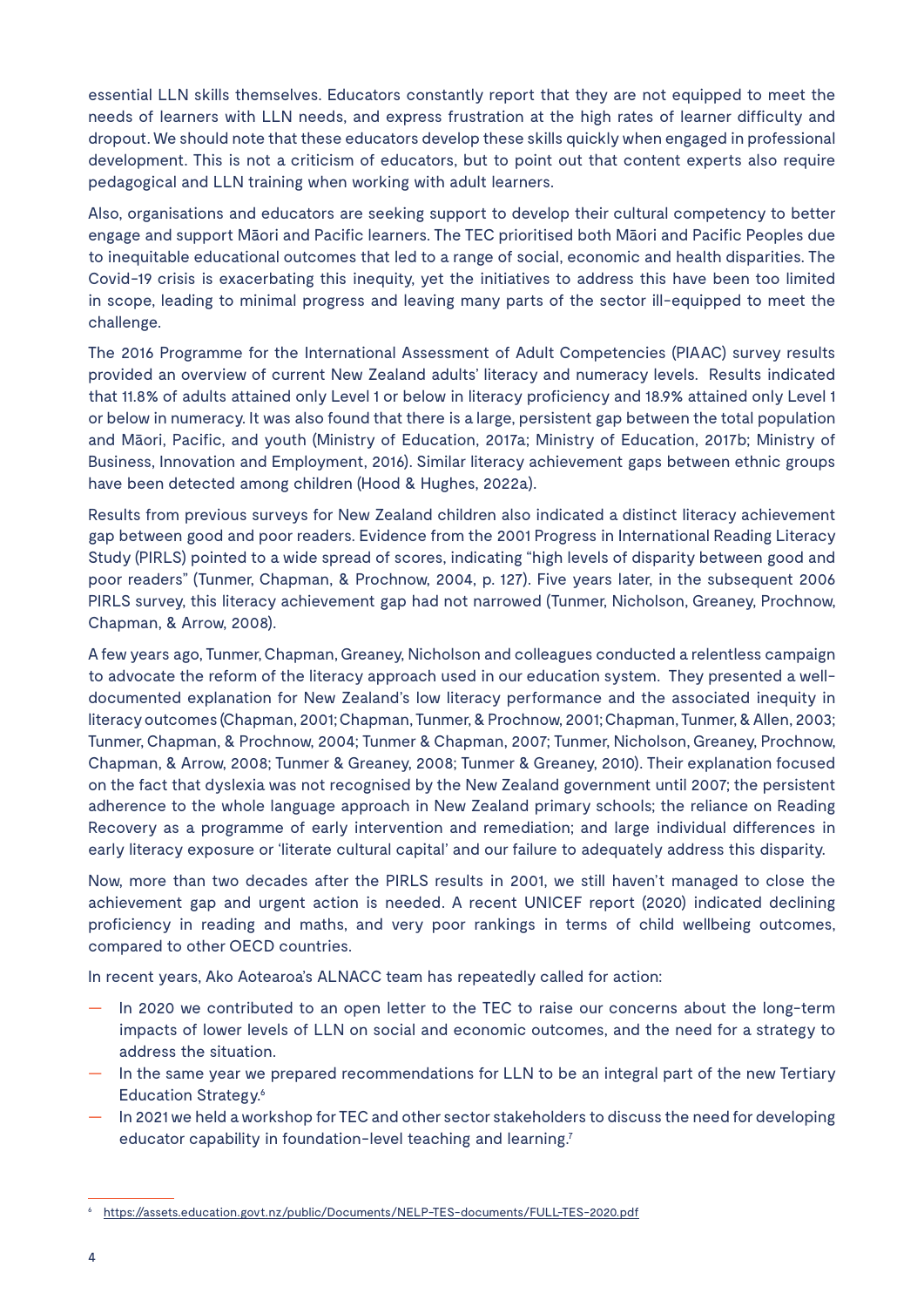essential LLN skills themselves. Educators constantly report that they are not equipped to meet the needs of learners with LLN needs, and express frustration at the high rates of learner difficulty and dropout. We should note that these educators develop these skills quickly when engaged in professional development. This is not a criticism of educators, but to point out that content experts also require pedagogical and LLN training when working with adult learners.

Also, organisations and educators are seeking support to develop their cultural competency to better engage and support Māori and Pacific learners. The TEC prioritised both Māori and Pacific Peoples due to inequitable educational outcomes that led to a range of social, economic and health disparities. The Covid-19 crisis is exacerbating this inequity, yet the initiatives to address this have been too limited in scope, leading to minimal progress and leaving many parts of the sector ill-equipped to meet the challenge.

The 2016 Programme for the International Assessment of Adult Competencies (PIAAC) survey results provided an overview of current New Zealand adults' literacy and numeracy levels. Results indicated that 11.8% of adults attained only Level 1 or below in literacy proficiency and 18.9% attained only Level 1 or below in numeracy. It was also found that there is a large, persistent gap between the total population and Māori, Pacific, and youth (Ministry of Education, 2017a; Ministry of Education, 2017b; Ministry of Business, Innovation and Employment, 2016). Similar literacy achievement gaps between ethnic groups have been detected among children (Hood & Hughes, 2022a).

Results from previous surveys for New Zealand children also indicated a distinct literacy achievement gap between good and poor readers. Evidence from the 2001 Progress in International Reading Literacy Study (PIRLS) pointed to a wide spread of scores, indicating "high levels of disparity between good and poor readers" (Tunmer, Chapman, & Prochnow, 2004, p. 127). Five years later, in the subsequent 2006 PIRLS survey, this literacy achievement gap had not narrowed (Tunmer, Nicholson, Greaney, Prochnow, Chapman, & Arrow, 2008).

A few years ago, Tunmer, Chapman, Greaney, Nicholson and colleagues conducted a relentless campaign to advocate the reform of the literacy approach used in our education system. They presented a welldocumented explanation for New Zealand's low literacy performance and the associated inequity in literacy outcomes (Chapman, 2001; Chapman, Tunmer, & Prochnow, 2001; Chapman, Tunmer, & Allen, 2003; Tunmer, Chapman, & Prochnow, 2004; Tunmer & Chapman, 2007; Tunmer, Nicholson, Greaney, Prochnow, Chapman, & Arrow, 2008; Tunmer & Greaney, 2008; Tunmer & Greaney, 2010). Their explanation focused on the fact that dyslexia was not recognised by the New Zealand government until 2007; the persistent adherence to the whole language approach in New Zealand primary schools; the reliance on Reading Recovery as a programme of early intervention and remediation; and large individual differences in early literacy exposure or 'literate cultural capital' and our failure to adequately address this disparity.

Now, more than two decades after the PIRLS results in 2001, we still haven't managed to close the achievement gap and urgent action is needed. A recent UNICEF report (2020) indicated declining proficiency in reading and maths, and very poor rankings in terms of child wellbeing outcomes, compared to other OECD countries.

In recent years, Ako Aotearoa's ALNACC team has repeatedly called for action:

- In 2020 we contributed to an open letter to the TEC to raise our concerns about the long-term impacts of lower levels of LLN on social and economic outcomes, and the need for a strategy to address the situation.
- In the same year we prepared recommendations for LLN to be an integral part of the new Tertiary Education Strategy.6
- In 2021 we held a workshop for TEC and other sector stakeholders to discuss the need for developing educator capability in foundation-level teaching and learning.<sup>7</sup>

<sup>6</sup> https://assets.education.govt.nz/public/Documents/NELP-TES-documents/FULL-TES-2020.pdf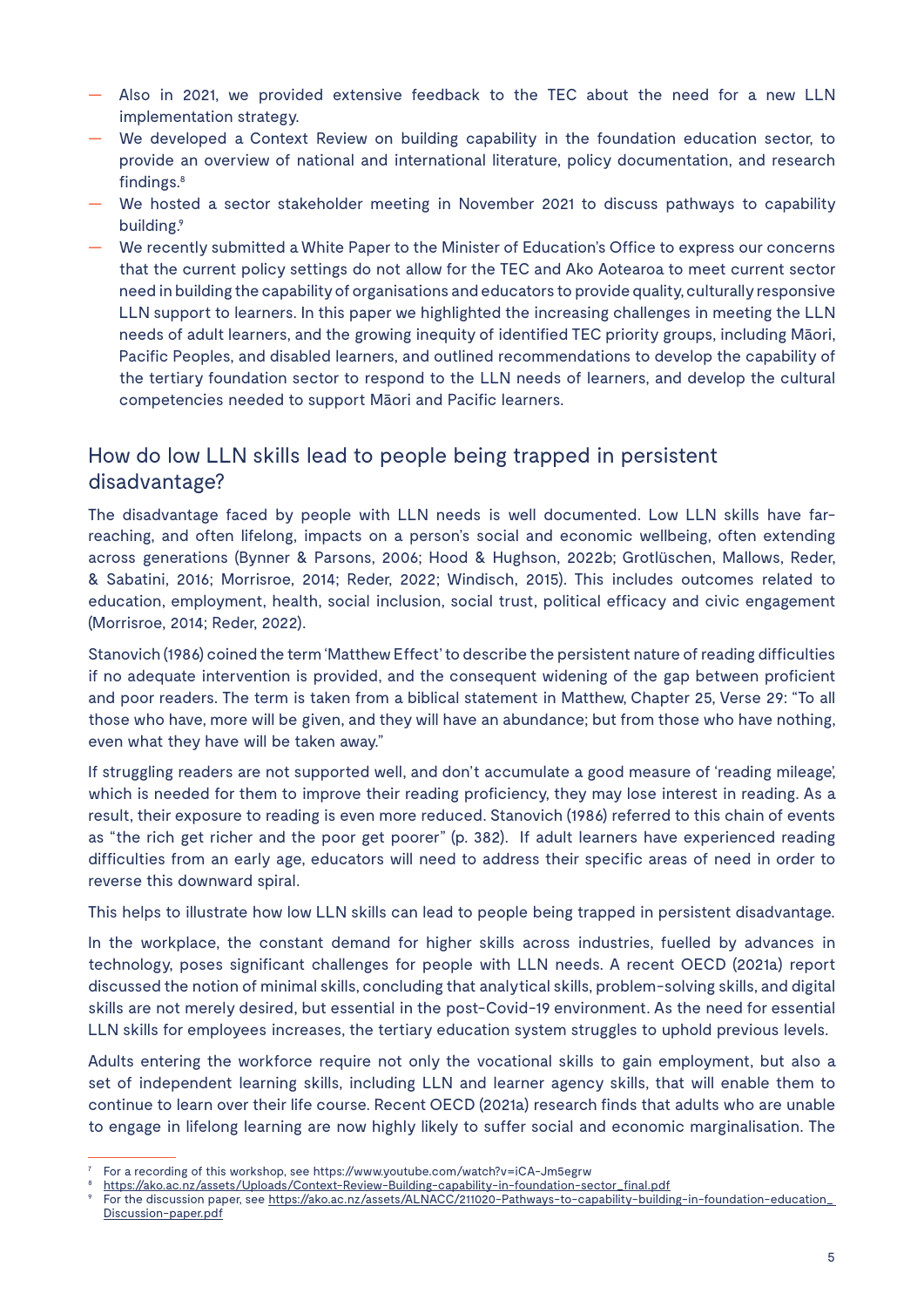- Also in 2021, we provided extensive feedback to the TEC about the need for a new LLN implementation strategy.
- We developed a Context Review on building capability in the foundation education sector, to provide an overview of national and international literature, policy documentation, and research findings.8
- We hosted a sector stakeholder meeting in November 2021 to discuss pathways to capability building.<sup>9</sup>
- We recently submitted a White Paper to the Minister of Education's Office to express our concerns that the current policy settings do not allow for the TEC and Ako Aotearoa to meet current sector need in building the capability of organisations and educators to provide quality, culturally responsive LLN support to learners. In this paper we highlighted the increasing challenges in meeting the LLN needs of adult learners, and the growing inequity of identified TEC priority groups, including Māori, Pacific Peoples, and disabled learners, and outlined recommendations to develop the capability of the tertiary foundation sector to respond to the LLN needs of learners, and develop the cultural competencies needed to support Māori and Pacific learners.

### How do low LLN skills lead to people being trapped in persistent disadvantage?

The disadvantage faced by people with LLN needs is well documented. Low LLN skills have farreaching, and often lifelong, impacts on a person's social and economic wellbeing, often extending across generations (Bynner & Parsons, 2006; Hood & Hughson, 2022b; Grotlüschen, Mallows, Reder, & Sabatini, 2016; Morrisroe, 2014; Reder, 2022; Windisch, 2015). This includes outcomes related to education, employment, health, social inclusion, social trust, political efficacy and civic engagement (Morrisroe, 2014; Reder, 2022).

Stanovich (1986) coined the term 'Matthew Effect' to describe the persistent nature of reading difficulties if no adequate intervention is provided, and the consequent widening of the gap between proficient and poor readers. The term is taken from a biblical statement in Matthew, Chapter 25, Verse 29: "To all those who have, more will be given, and they will have an abundance; but from those who have nothing, even what they have will be taken away."

If struggling readers are not supported well, and don't accumulate a good measure of 'reading mileage', which is needed for them to improve their reading proficiency, they may lose interest in reading. As a result, their exposure to reading is even more reduced. Stanovich (1986) referred to this chain of events as "the rich get richer and the poor get poorer" (p. 382). If adult learners have experienced reading difficulties from an early age, educators will need to address their specific areas of need in order to reverse this downward spiral.

This helps to illustrate how low LLN skills can lead to people being trapped in persistent disadvantage.

In the workplace, the constant demand for higher skills across industries, fuelled by advances in technology, poses significant challenges for people with LLN needs. A recent OECD (2021a) report discussed the notion of minimal skills, concluding that analytical skills, problem-solving skills, and digital skills are not merely desired, but essential in the post-Covid-19 environment. As the need for essential LLN skills for employees increases, the tertiary education system struggles to uphold previous levels.

Adults entering the workforce require not only the vocational skills to gain employment, but also a set of independent learning skills, including LLN and learner agency skills, that will enable them to continue to learn over their life course. Recent OECD (2021a) research finds that adults who are unable to engage in lifelong learning are now highly likely to suffer social and economic marginalisation. The

<sup>7</sup> For a recording of this workshop, see https://www.youtube.com/watch?v=iCA-Jm5egrw

<sup>8</sup> https://ako.ac.nz/assets/Uploads/Context-Review-Building-capability-in-foundation-sector\_final.pdf

For the discussion paper, see https://ako.ac.nz/assets/ALNACC/211020-Pathways-to-capability-building-in-foundation-education\_ Discussion-paper.pdf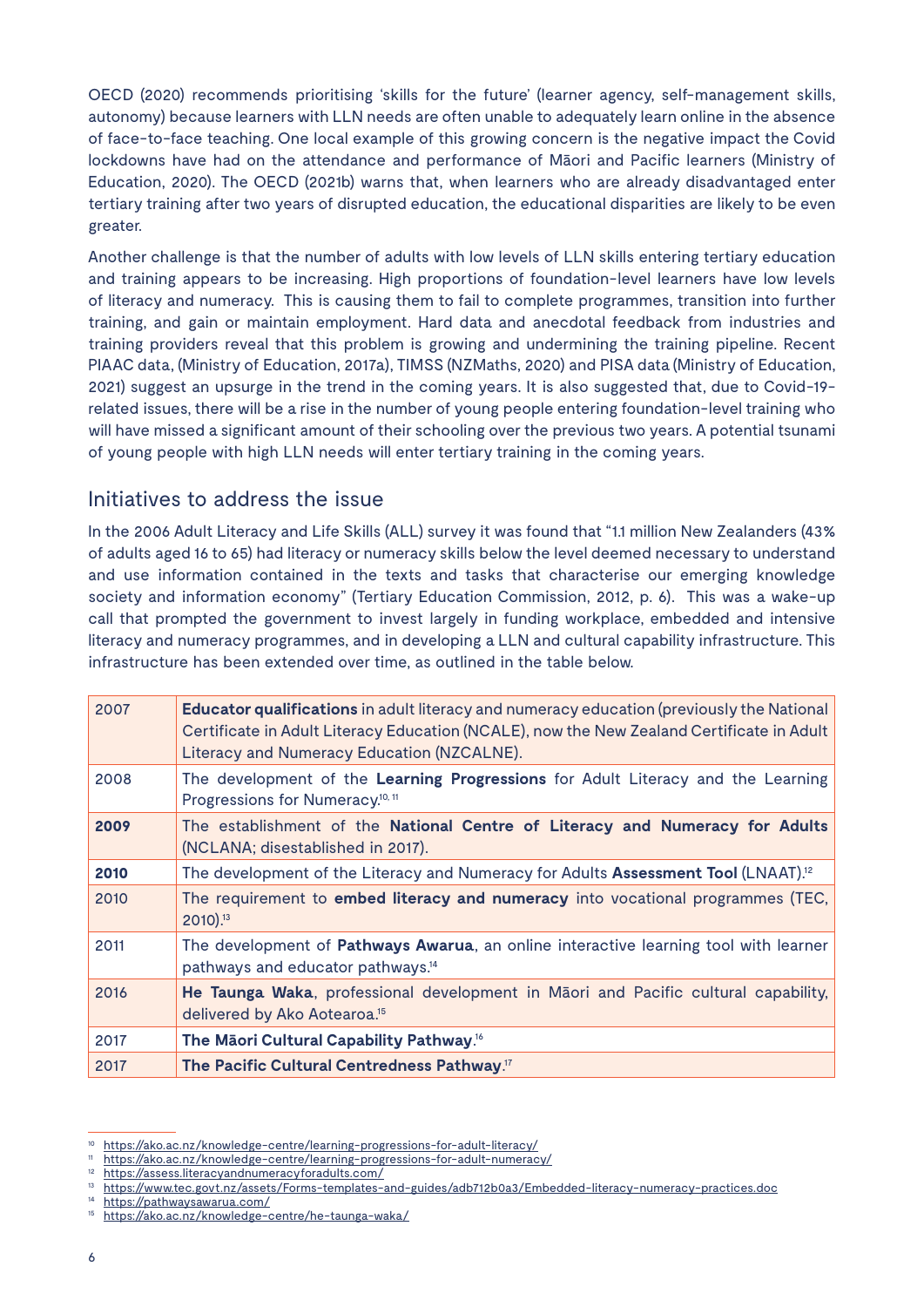OECD (2020) recommends prioritising 'skills for the future' (learner agency, self-management skills, autonomy) because learners with LLN needs are often unable to adequately learn online in the absence of face-to-face teaching. One local example of this growing concern is the negative impact the Covid lockdowns have had on the attendance and performance of Māori and Pacific learners (Ministry of Education, 2020). The OECD (2021b) warns that, when learners who are already disadvantaged enter tertiary training after two years of disrupted education, the educational disparities are likely to be even greater.

Another challenge is that the number of adults with low levels of LLN skills entering tertiary education and training appears to be increasing. High proportions of foundation-level learners have low levels of literacy and numeracy. This is causing them to fail to complete programmes, transition into further training, and gain or maintain employment. Hard data and anecdotal feedback from industries and training providers reveal that this problem is growing and undermining the training pipeline. Recent PIAAC data, (Ministry of Education, 2017a), TIMSS (NZMaths, 2020) and PISA data (Ministry of Education, 2021) suggest an upsurge in the trend in the coming years. It is also suggested that, due to Covid-19 related issues, there will be a rise in the number of young people entering foundation-level training who will have missed a significant amount of their schooling over the previous two years. A potential tsunami of young people with high LLN needs will enter tertiary training in the coming years.

### Initiatives to address the issue

In the 2006 Adult Literacy and Life Skills (ALL) survey it was found that "1.1 million New Zealanders (43% of adults aged 16 to 65) had literacy or numeracy skills below the level deemed necessary to understand and use information contained in the texts and tasks that characterise our emerging knowledge society and information economy" (Tertiary Education Commission, 2012, p. 6). This was a wake-up call that prompted the government to invest largely in funding workplace, embedded and intensive literacy and numeracy programmes, and in developing a LLN and cultural capability infrastructure. This infrastructure has been extended over time, as outlined in the table below.

| 2007 | <b>Educator qualifications in adult literacy and numeracy education (previously the National</b><br>Certificate in Adult Literacy Education (NCALE), now the New Zealand Certificate in Adult<br>Literacy and Numeracy Education (NZCALNE). |
|------|---------------------------------------------------------------------------------------------------------------------------------------------------------------------------------------------------------------------------------------------|
| 2008 | The development of the Learning Progressions for Adult Literacy and the Learning<br>Progressions for Numeracy. <sup>10, 11</sup>                                                                                                            |
| 2009 | The establishment of the National Centre of Literacy and Numeracy for Adults<br>(NCLANA; disestablished in 2017).                                                                                                                           |
| 2010 | The development of the Literacy and Numeracy for Adults Assessment Tool (LNAAT). <sup>12</sup>                                                                                                                                              |
| 2010 | The requirement to embed literacy and numeracy into vocational programmes (TEC,<br>2010).13                                                                                                                                                 |
| 2011 | The development of Pathways Awarua, an online interactive learning tool with learner<br>pathways and educator pathways. <sup>14</sup>                                                                                                       |
| 2016 | He Taunga Waka, professional development in Māori and Pacific cultural capability,<br>delivered by Ako Aotearoa. <sup>15</sup>                                                                                                              |
| 2017 | The Māori Cultural Capability Pathway. <sup>16</sup>                                                                                                                                                                                        |
| 2017 | The Pacific Cultural Centredness Pathway. <sup>17</sup>                                                                                                                                                                                     |

<sup>&</sup>lt;sup>10</sup> https://ako.ac.nz/knowledge-centre/learning-progressions-for-adult-literacy/<br><sup>11</sup> https://ako.ac.nz/knowledge-centre/learning-progressions-for-adult-numerac

https://ako.ac.nz/knowledge-centre/learning-progressions-for-adult-numeracy/

<sup>12</sup> https://assess.literacyandnumeracyforadults.com/

<sup>13</sup> https://www.tec.govt.nz/assets/Forms-templates-and-guides/adb712b0a3/Embedded-literacy-numeracy-practices.doc

<sup>14</sup> https://pathwaysawarua.com/

<sup>15</sup> https://ako.ac.nz/knowledge-centre/he-taunga-waka/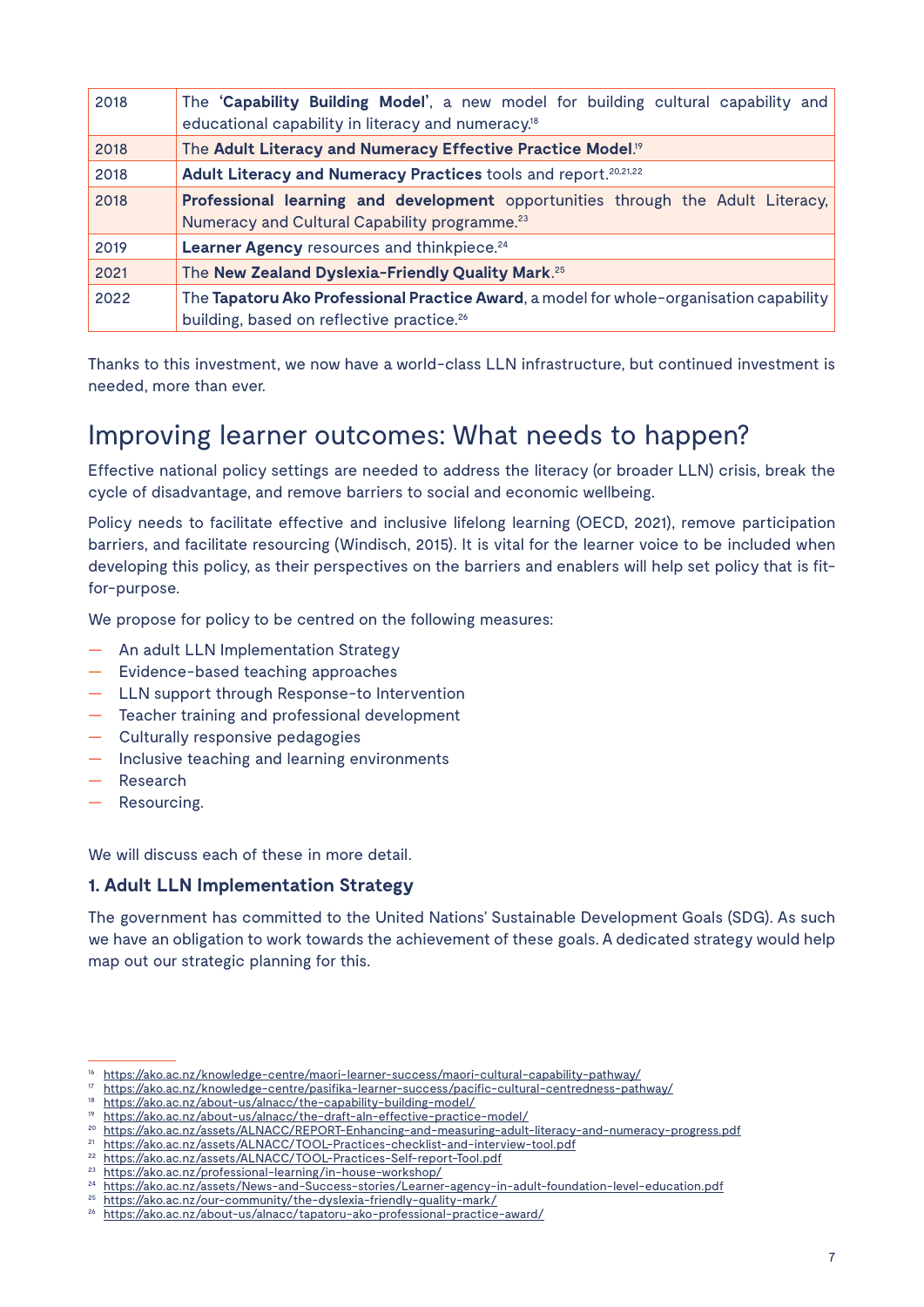| 2018 | The 'Capability Building Model', a new model for building cultural capability and<br>educational capability in literacy and numeracy. <sup>18</sup> |
|------|-----------------------------------------------------------------------------------------------------------------------------------------------------|
| 2018 | The Adult Literacy and Numeracy Effective Practice Model. <sup>19</sup>                                                                             |
| 2018 | Adult Literacy and Numeracy Practices tools and report. <sup>20,21,22</sup>                                                                         |
| 2018 | Professional learning and development opportunities through the Adult Literacy,<br>Numeracy and Cultural Capability programme. <sup>23</sup>        |
| 2019 | Learner Agency resources and thinkpiece. <sup>24</sup>                                                                                              |
| 2021 | The New Zealand Dyslexia-Friendly Quality Mark. <sup>25</sup>                                                                                       |
| 2022 | The Tapatoru Ako Professional Practice Award, a model for whole-organisation capability<br>building, based on reflective practice. <sup>26</sup>    |

Thanks to this investment, we now have a world-class LLN infrastructure, but continued investment is needed, more than ever.

### Improving learner outcomes: What needs to happen?

Effective national policy settings are needed to address the literacy (or broader LLN) crisis, break the cycle of disadvantage, and remove barriers to social and economic wellbeing.

Policy needs to facilitate effective and inclusive lifelong learning (OECD, 2021), remove participation barriers, and facilitate resourcing (Windisch, 2015). It is vital for the learner voice to be included when developing this policy, as their perspectives on the barriers and enablers will help set policy that is fitfor-purpose.

We propose for policy to be centred on the following measures:

- An adult LLN Implementation Strategy
- Evidence-based teaching approaches
- LLN support through Response-to Intervention
- Teacher training and professional development
- Culturally responsive pedagogies
- Inclusive teaching and learning environments
- Research
- Resourcing.

We will discuss each of these in more detail.

#### **1. Adult LLN Implementation Strategy**

The government has committed to the United Nations' Sustainable Development Goals (SDG). As such we have an obligation to work towards the achievement of these goals. A dedicated strategy would help map out our strategic planning for this.

<sup>21</sup> https://ako.ac.nz/assets/ALNACC/TOOL-Practices-checklist-and-interview-tool.pdf

<sup>16</sup> https://ako.ac.nz/knowledge-centre/maori-learner-success/maori-cultural-capability-pathway/

<sup>17</sup> https://ako.ac.nz/knowledge-centre/pasifika-learner-success/pacific-cultural-centredness-pathway/

<sup>18</sup> https://ako.ac.nz/about-us/alnacc/the-capability-building-model/

<sup>19</sup> https://ako.ac.nz/about-us/alnacc/the-draft-aln-effective-practice-model/

<sup>20</sup> https://ako.ac.nz/assets/ALNACC/REPORT-Enhancing-and-measuring-adult-literacy-and-numeracy-progress.pdf

<sup>22</sup> https://ako.ac.nz/assets/ALNACC/TOOL-Practices-Self-report-Tool.pdf

<sup>23</sup> https://ako.ac.nz/professional-learning/in-house-workshop/

<sup>24</sup> https://ako.ac.nz/assets/News-and-Success-stories/Learner-agency-in-adult-foundation-level-education.pdf

<sup>25</sup> https://ako.ac.nz/our-community/the-dyslexia-friendly-quality-mark/

<sup>26</sup> https://ako.ac.nz/about-us/alnacc/tapatoru-ako-professional-practice-award/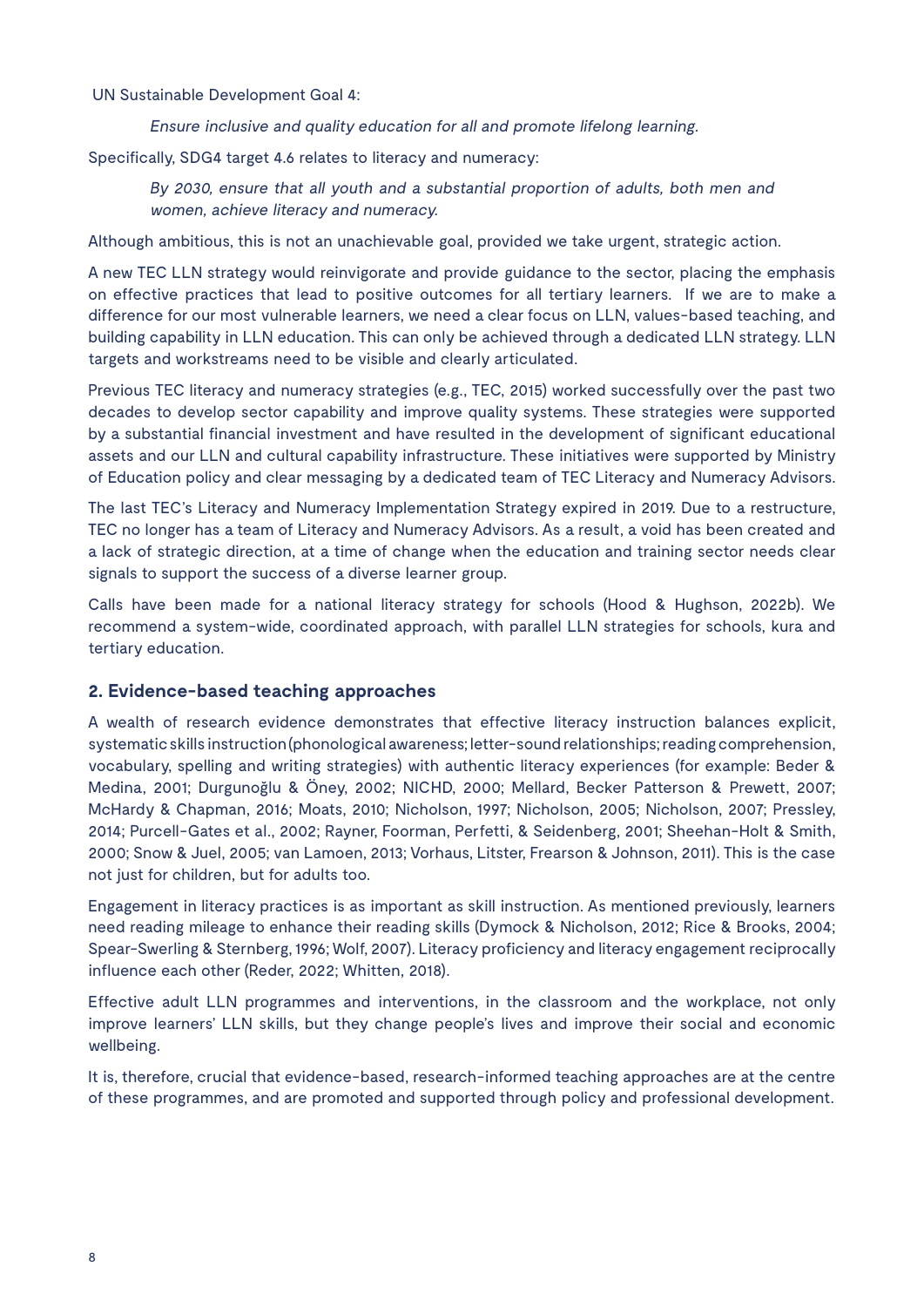UN Sustainable Development Goal 4:

Ensure inclusive and quality education for all and promote lifelong learning.

Specifically, SDG4 target 4.6 relates to literacy and numeracy:

By 2030, ensure that all youth and a substantial proportion of adults, both men and women, achieve literacy and numeracy.

Although ambitious, this is not an unachievable goal, provided we take urgent, strategic action.

A new TEC LLN strategy would reinvigorate and provide guidance to the sector, placing the emphasis on effective practices that lead to positive outcomes for all tertiary learners. If we are to make a difference for our most vulnerable learners, we need a clear focus on LLN, values-based teaching, and building capability in LLN education. This can only be achieved through a dedicated LLN strategy. LLN targets and workstreams need to be visible and clearly articulated.

Previous TEC literacy and numeracy strategies (e.g., TEC, 2015) worked successfully over the past two decades to develop sector capability and improve quality systems. These strategies were supported by a substantial financial investment and have resulted in the development of significant educational assets and our LLN and cultural capability infrastructure. These initiatives were supported by Ministry of Education policy and clear messaging by a dedicated team of TEC Literacy and Numeracy Advisors.

The last TEC's Literacy and Numeracy Implementation Strategy expired in 2019. Due to a restructure, TEC no longer has a team of Literacy and Numeracy Advisors. As a result, a void has been created and a lack of strategic direction, at a time of change when the education and training sector needs clear signals to support the success of a diverse learner group.

Calls have been made for a national literacy strategy for schools (Hood & Hughson, 2022b). We recommend a system-wide, coordinated approach, with parallel LLN strategies for schools, kura and tertiary education.

#### **2. Evidence-based teaching approaches**

A wealth of research evidence demonstrates that effective literacy instruction balances explicit, systematic skills instruction (phonological awareness; letter-sound relationships; reading comprehension, vocabulary, spelling and writing strategies) with authentic literacy experiences (for example: Beder & Medina, 2001; Durgunoğlu & Öney, 2002; NICHD, 2000; Mellard, Becker Patterson & Prewett, 2007; McHardy & Chapman, 2016; Moats, 2010; Nicholson, 1997; Nicholson, 2005; Nicholson, 2007; Pressley, 2014; Purcell-Gates et al., 2002; Rayner, Foorman, Perfetti, & Seidenberg, 2001; Sheehan-Holt & Smith, 2000; Snow & Juel, 2005; van Lamoen, 2013; Vorhaus, Litster, Frearson & Johnson, 2011). This is the case not just for children, but for adults too.

Engagement in literacy practices is as important as skill instruction. As mentioned previously, learners need reading mileage to enhance their reading skills (Dymock & Nicholson, 2012; Rice & Brooks, 2004; Spear-Swerling & Sternberg, 1996; Wolf, 2007). Literacy proficiency and literacy engagement reciprocally influence each other (Reder, 2022; Whitten, 2018).

Effective adult LLN programmes and interventions, in the classroom and the workplace, not only improve learners' LLN skills, but they change people's lives and improve their social and economic wellbeing.

It is, therefore, crucial that evidence-based, research-informed teaching approaches are at the centre of these programmes, and are promoted and supported through policy and professional development.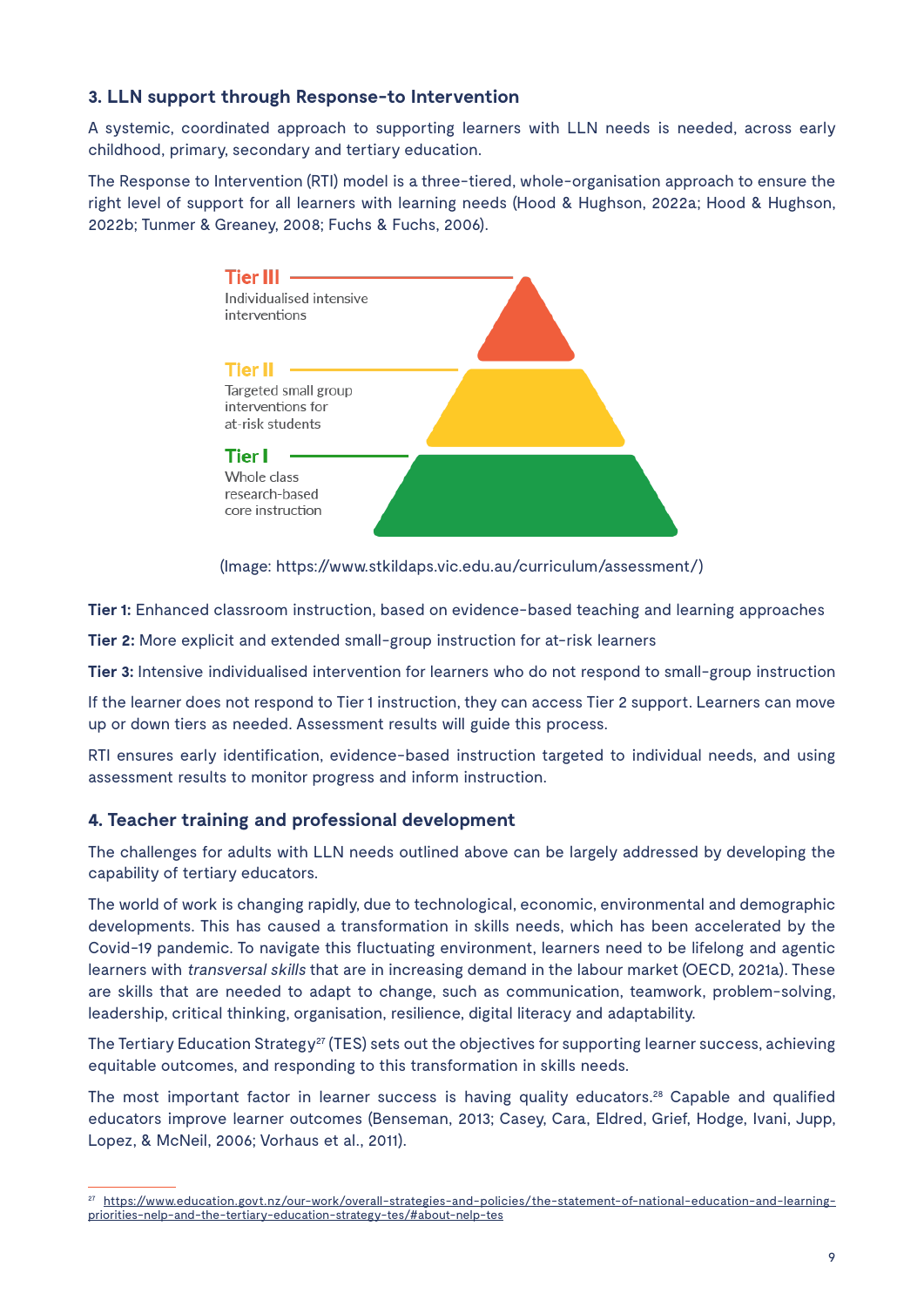#### **3. LLN support through Response-to Intervention**

A systemic, coordinated approach to supporting learners with LLN needs is needed, across early childhood, primary, secondary and tertiary education.

The Response to Intervention (RTI) model is a three-tiered, whole-organisation approach to ensure the right level of support for all learners with learning needs (Hood & Hughson, 2022a; Hood & Hughson, 2022b; Tunmer & Greaney, 2008; Fuchs & Fuchs, 2006).



(Image: https://www.stkildaps.vic.edu.au/curriculum/assessment/)

**Tier 1:** Enhanced classroom instruction, based on evidence-based teaching and learning approaches

**Tier 2:** More explicit and extended small-group instruction for at-risk learners

**Tier 3:** Intensive individualised intervention for learners who do not respond to small-group instruction

If the learner does not respond to Tier 1 instruction, they can access Tier 2 support. Learners can move up or down tiers as needed. Assessment results will guide this process.

RTI ensures early identification, evidence-based instruction targeted to individual needs, and using assessment results to monitor progress and inform instruction.

#### **4. Teacher training and professional development**

The challenges for adults with LLN needs outlined above can be largely addressed by developing the capability of tertiary educators.

The world of work is changing rapidly, due to technological, economic, environmental and demographic developments. This has caused a transformation in skills needs, which has been accelerated by the Covid-19 pandemic. To navigate this fluctuating environment, learners need to be lifelong and agentic learners with *transversal skills* that are in increasing demand in the labour market (OECD, 2021a). These are skills that are needed to adapt to change, such as communication, teamwork, problem-solving, leadership, critical thinking, organisation, resilience, digital literacy and adaptability.

The Tertiary Education Strategy<sup>27</sup> (TES) sets out the objectives for supporting learner success, achieving equitable outcomes, and responding to this transformation in skills needs.

The most important factor in learner success is having quality educators.28 Capable and qualified educators improve learner outcomes (Benseman, 2013; Casey, Cara, Eldred, Grief, Hodge, Ivani, Jupp, Lopez, & McNeil, 2006; Vorhaus et al., 2011).

<sup>27</sup> https://www.education.govt.nz/our-work/overall-strategies-and-policies/the-statement-of-national-education-and-learningpriorities-nelp-and-the-tertiary-education-strategy-tes/#about-nelp-tes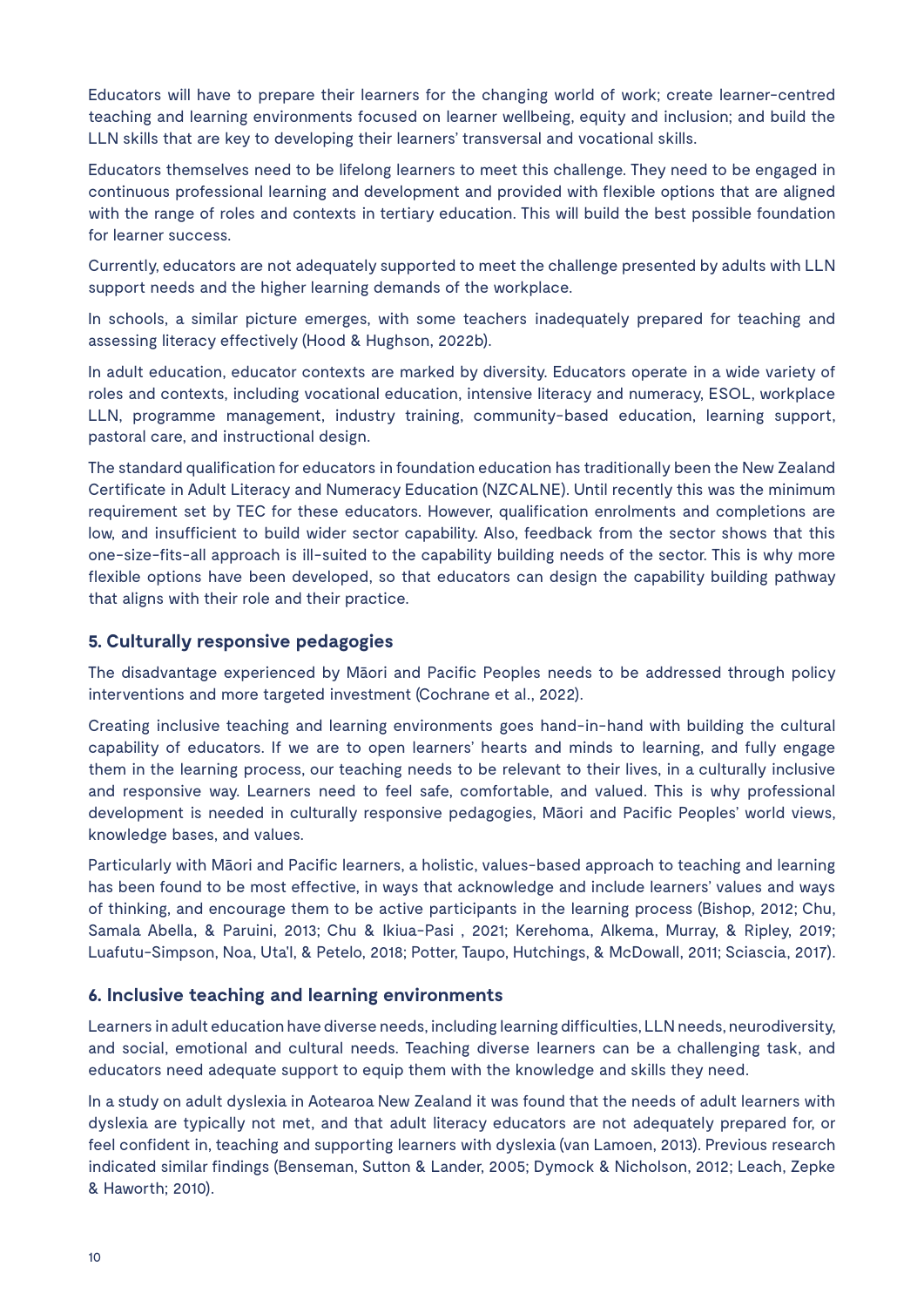Educators will have to prepare their learners for the changing world of work; create learner-centred teaching and learning environments focused on learner wellbeing, equity and inclusion; and build the LLN skills that are key to developing their learners' transversal and vocational skills.

Educators themselves need to be lifelong learners to meet this challenge. They need to be engaged in continuous professional learning and development and provided with flexible options that are aligned with the range of roles and contexts in tertiary education. This will build the best possible foundation for learner success.

Currently, educators are not adequately supported to meet the challenge presented by adults with LLN support needs and the higher learning demands of the workplace.

In schools, a similar picture emerges, with some teachers inadequately prepared for teaching and assessing literacy effectively (Hood & Hughson, 2022b).

In adult education, educator contexts are marked by diversity. Educators operate in a wide variety of roles and contexts, including vocational education, intensive literacy and numeracy, ESOL, workplace LLN, programme management, industry training, community-based education, learning support, pastoral care, and instructional design.

The standard qualification for educators in foundation education has traditionally been the New Zealand Certificate in Adult Literacy and Numeracy Education (NZCALNE). Until recently this was the minimum requirement set by TEC for these educators. However, qualification enrolments and completions are low, and insufficient to build wider sector capability. Also, feedback from the sector shows that this one-size-fits-all approach is ill-suited to the capability building needs of the sector. This is why more flexible options have been developed, so that educators can design the capability building pathway that aligns with their role and their practice.

#### **5. Culturally responsive pedagogies**

The disadvantage experienced by Māori and Pacific Peoples needs to be addressed through policy interventions and more targeted investment (Cochrane et al., 2022).

Creating inclusive teaching and learning environments goes hand-in-hand with building the cultural capability of educators. If we are to open learners' hearts and minds to learning, and fully engage them in the learning process, our teaching needs to be relevant to their lives, in a culturally inclusive and responsive way. Learners need to feel safe, comfortable, and valued. This is why professional development is needed in culturally responsive pedagogies, Māori and Pacific Peoples' world views, knowledge bases, and values.

Particularly with Māori and Pacific learners, a holistic, values-based approach to teaching and learning has been found to be most effective, in ways that acknowledge and include learners' values and ways of thinking, and encourage them to be active participants in the learning process (Bishop, 2012; Chu, Samala Abella, & Paruini, 2013; Chu & Ikiua-Pasi , 2021; Kerehoma, Alkema, Murray, & Ripley, 2019; Luafutu-Simpson, Noa, Uta'I, & Petelo, 2018; Potter, Taupo, Hutchings, & McDowall, 2011; Sciascia, 2017).

#### **6. Inclusive teaching and learning environments**

Learners in adult education have diverse needs, including learning difficulties, LLN needs, neurodiversity, and social, emotional and cultural needs. Teaching diverse learners can be a challenging task, and educators need adequate support to equip them with the knowledge and skills they need.

In a study on adult dyslexia in Aotearoa New Zealand it was found that the needs of adult learners with dyslexia are typically not met, and that adult literacy educators are not adequately prepared for, or feel confident in, teaching and supporting learners with dyslexia (van Lamoen, 2013). Previous research indicated similar findings (Benseman, Sutton & Lander, 2005; Dymock & Nicholson, 2012; Leach, Zepke & Haworth; 2010).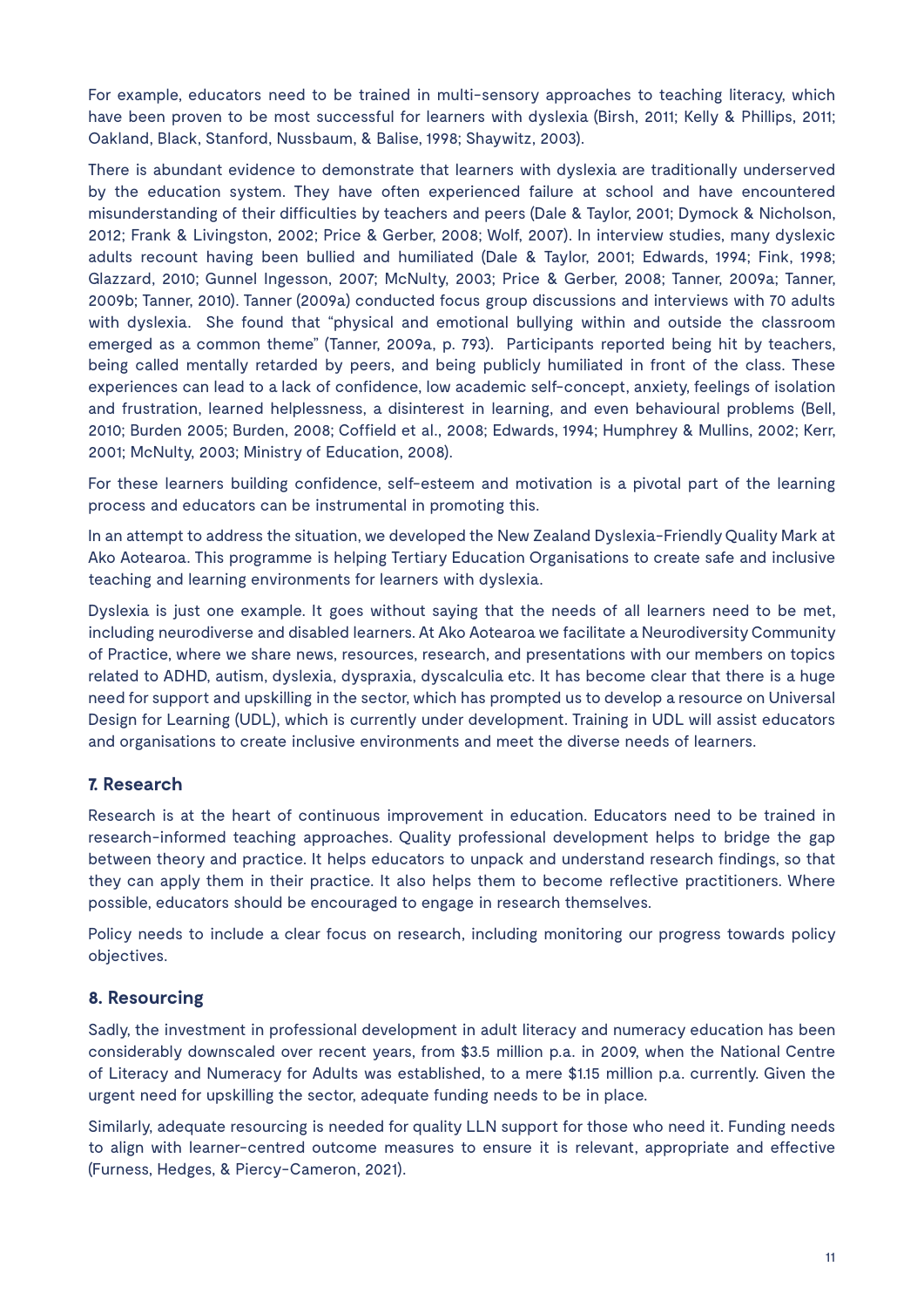For example, educators need to be trained in multi-sensory approaches to teaching literacy, which have been proven to be most successful for learners with dyslexia (Birsh, 2011; Kelly & Phillips, 2011; Oakland, Black, Stanford, Nussbaum, & Balise, 1998; Shaywitz, 2003).

There is abundant evidence to demonstrate that learners with dyslexia are traditionally underserved by the education system. They have often experienced failure at school and have encountered misunderstanding of their difficulties by teachers and peers (Dale & Taylor, 2001; Dymock & Nicholson, 2012; Frank & Livingston, 2002; Price & Gerber, 2008; Wolf, 2007). In interview studies, many dyslexic adults recount having been bullied and humiliated (Dale & Taylor, 2001; Edwards, 1994; Fink, 1998; Glazzard, 2010; Gunnel Ingesson, 2007; McNulty, 2003; Price & Gerber, 2008; Tanner, 2009a; Tanner, 2009b; Tanner, 2010). Tanner (2009a) conducted focus group discussions and interviews with 70 adults with dyslexia. She found that "physical and emotional bullying within and outside the classroom emerged as a common theme" (Tanner, 2009a, p. 793). Participants reported being hit by teachers, being called mentally retarded by peers, and being publicly humiliated in front of the class. These experiences can lead to a lack of confidence, low academic self-concept, anxiety, feelings of isolation and frustration, learned helplessness, a disinterest in learning, and even behavioural problems (Bell, 2010; Burden 2005; Burden, 2008; Coffield et al., 2008; Edwards, 1994; Humphrey & Mullins, 2002; Kerr, 2001; McNulty, 2003; Ministry of Education, 2008).

For these learners building confidence, self-esteem and motivation is a pivotal part of the learning process and educators can be instrumental in promoting this.

In an attempt to address the situation, we developed the New Zealand Dyslexia-Friendly Quality Mark at Ako Aotearoa. This programme is helping Tertiary Education Organisations to create safe and inclusive teaching and learning environments for learners with dyslexia.

Dyslexia is just one example. It goes without saying that the needs of all learners need to be met, including neurodiverse and disabled learners. At Ako Aotearoa we facilitate a Neurodiversity Community of Practice, where we share news, resources, research, and presentations with our members on topics related to ADHD, autism, dyslexia, dyspraxia, dyscalculia etc. It has become clear that there is a huge need for support and upskilling in the sector, which has prompted us to develop a resource on Universal Design for Learning (UDL), which is currently under development. Training in UDL will assist educators and organisations to create inclusive environments and meet the diverse needs of learners.

#### **7. Research**

Research is at the heart of continuous improvement in education. Educators need to be trained in research-informed teaching approaches. Quality professional development helps to bridge the gap between theory and practice. It helps educators to unpack and understand research findings, so that they can apply them in their practice. It also helps them to become reflective practitioners. Where possible, educators should be encouraged to engage in research themselves.

Policy needs to include a clear focus on research, including monitoring our progress towards policy objectives.

#### **8. Resourcing**

Sadly, the investment in professional development in adult literacy and numeracy education has been considerably downscaled over recent years, from \$3.5 million p.a. in 2009, when the National Centre of Literacy and Numeracy for Adults was established, to a mere \$1.15 million p.a. currently. Given the urgent need for upskilling the sector, adequate funding needs to be in place.

Similarly, adequate resourcing is needed for quality LLN support for those who need it. Funding needs to align with learner-centred outcome measures to ensure it is relevant, appropriate and effective (Furness, Hedges, & Piercy-Cameron, 2021).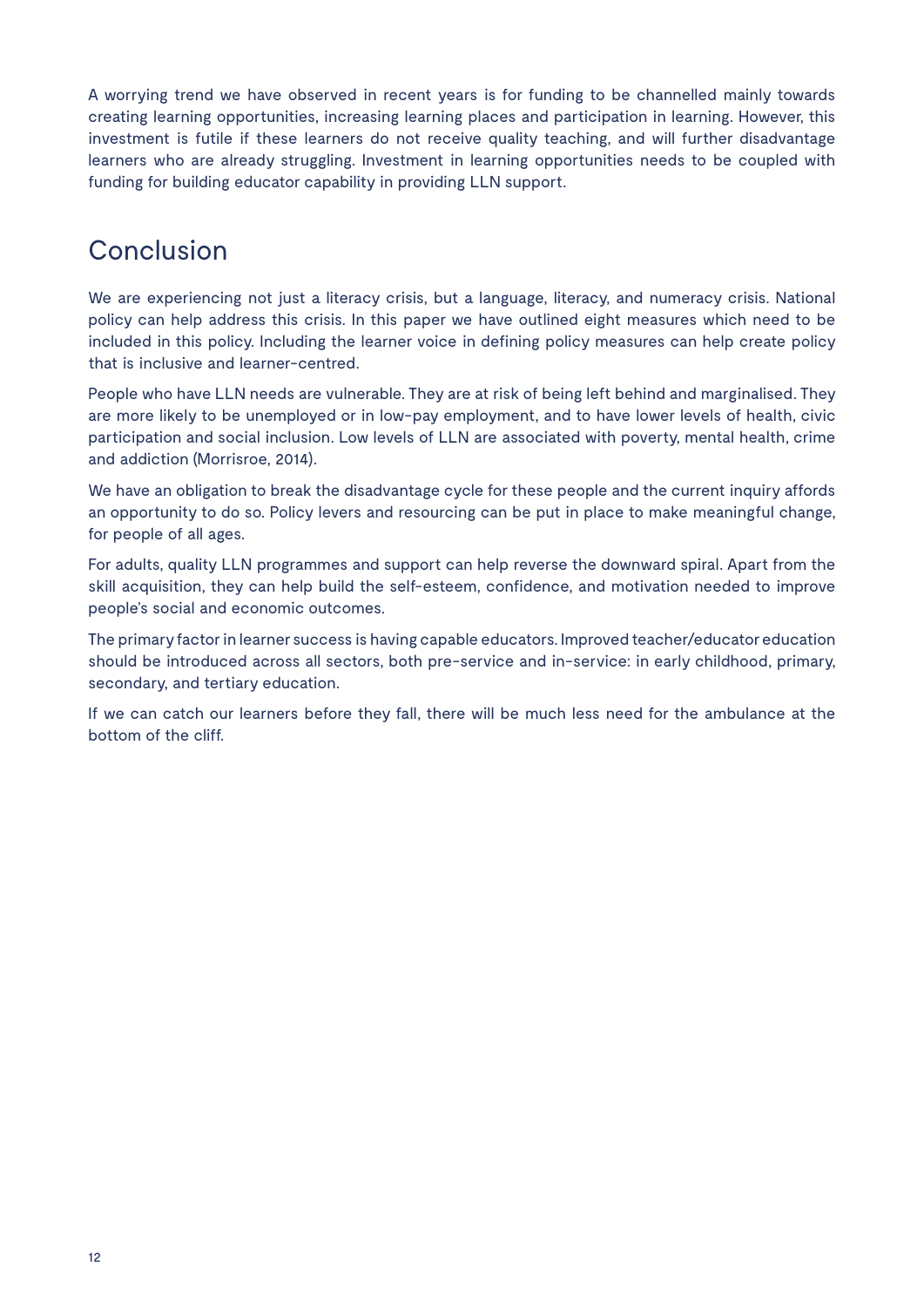A worrying trend we have observed in recent years is for funding to be channelled mainly towards creating learning opportunities, increasing learning places and participation in learning. However, this investment is futile if these learners do not receive quality teaching, and will further disadvantage learners who are already struggling. Investment in learning opportunities needs to be coupled with funding for building educator capability in providing LLN support.

# Conclusion

We are experiencing not just a literacy crisis, but a language, literacy, and numeracy crisis. National policy can help address this crisis. In this paper we have outlined eight measures which need to be included in this policy. Including the learner voice in defining policy measures can help create policy that is inclusive and learner-centred.

People who have LLN needs are vulnerable. They are at risk of being left behind and marginalised. They are more likely to be unemployed or in low-pay employment, and to have lower levels of health, civic participation and social inclusion. Low levels of LLN are associated with poverty, mental health, crime and addiction (Morrisroe, 2014).

We have an obligation to break the disadvantage cycle for these people and the current inquiry affords an opportunity to do so. Policy levers and resourcing can be put in place to make meaningful change, for people of all ages.

For adults, quality LLN programmes and support can help reverse the downward spiral. Apart from the skill acquisition, they can help build the self-esteem, confidence, and motivation needed to improve people's social and economic outcomes.

The primary factor in learner success is having capable educators. Improved teacher/educator education should be introduced across all sectors, both pre-service and in-service: in early childhood, primary, secondary, and tertiary education.

If we can catch our learners before they fall, there will be much less need for the ambulance at the bottom of the cliff.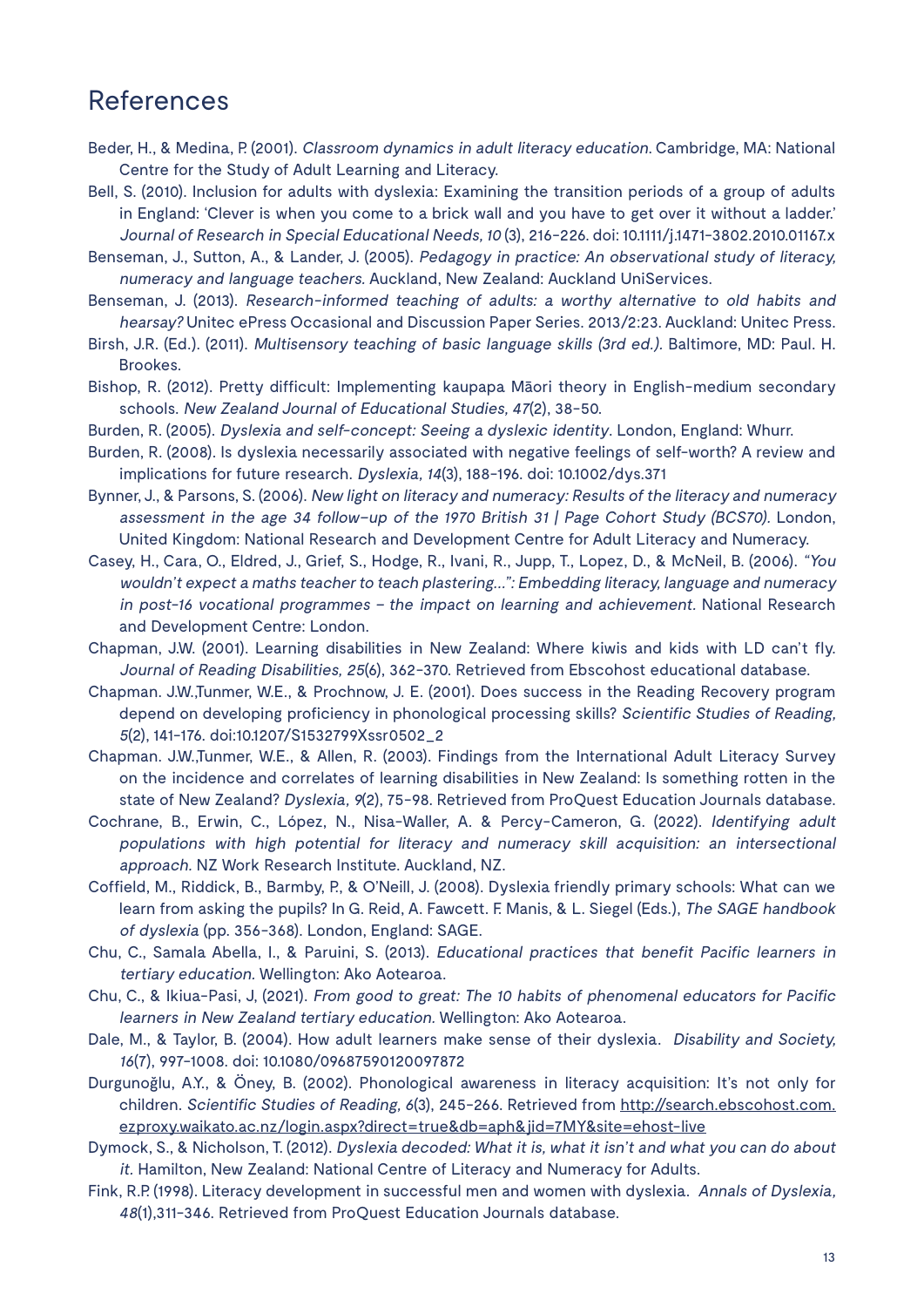### References

- Beder, H., & Medina, P. (2001). Classroom dynamics in adult literacy education. Cambridge, MA: National Centre for the Study of Adult Learning and Literacy.
- Bell, S. (2010). Inclusion for adults with dyslexia: Examining the transition periods of a group of adults in England: 'Clever is when you come to a brick wall and you have to get over it without a ladder.' Journal of Research in Special Educational Needs, 10 (3), 216-226. doi: 10.1111/j.1471-3802.2010.01167.x
- Benseman, J., Sutton, A., & Lander, J. (2005). Pedagogy in practice: An observational study of literacy, numeracy and language teachers. Auckland, New Zealand: Auckland UniServices.
- Benseman, J. (2013). Research-informed teaching of adults: a worthy alternative to old habits and hearsay? Unitec ePress Occasional and Discussion Paper Series. 2013/2:23. Auckland: Unitec Press.
- Birsh, J.R. (Ed.). (2011). Multisensory teaching of basic language skills (3rd ed.). Baltimore, MD: Paul. H. Brookes.
- Bishop, R. (2012). Pretty difficult: Implementing kaupapa Māori theory in English-medium secondary schools. New Zealand Journal of Educational Studies, 47(2), 38-50.
- Burden, R. (2005). Dyslexia and self-concept: Seeing a dyslexic identity. London, England: Whurr.
- Burden, R. (2008). Is dyslexia necessarily associated with negative feelings of self-worth? A review and implications for future research. Dyslexia, 14(3), 188-196. doi: 10.1002/dys.371
- Bynner, J., & Parsons, S. (2006). New light on literacy and numeracy: Results of the literacy and numeracy assessment in the age 34 follow–up of the 1970 British 31 | Page Cohort Study (BCS70). London, United Kingdom: National Research and Development Centre for Adult Literacy and Numeracy.
- Casey, H., Cara, O., Eldred, J., Grief, S., Hodge, R., Ivani, R., Jupp, T., Lopez, D., & McNeil, B. (2006). "You wouldn't expect a maths teacher to teach plastering...": Embedding literacy, language and numeracy in post-16 vocational programmes – the impact on learning and achievement. National Research and Development Centre: London.
- Chapman, J.W. (2001). Learning disabilities in New Zealand: Where kiwis and kids with LD can't fly. Journal of Reading Disabilities, 25(6), 362-370. Retrieved from Ebscohost educational database.
- Chapman. J.W.,Tunmer, W.E., & Prochnow, J. E. (2001). Does success in the Reading Recovery program depend on developing proficiency in phonological processing skills? Scientific Studies of Reading, <sup>5</sup>(2), 141-176. doi:10.1207/S1532799Xssr0502\_2
- Chapman. J.W.,Tunmer, W.E., & Allen, R. (2003). Findings from the International Adult Literacy Survey on the incidence and correlates of learning disabilities in New Zealand: Is something rotten in the state of New Zealand? Dyslexia, 9(2), 75-98. Retrieved from ProQuest Education Journals database.
- Cochrane, B., Erwin, C., López, N., Nisa-Waller, A. & Percy-Cameron, G. (2022). Identifying adult populations with high potential for literacy and numeracy skill acquisition: an intersectional approach. NZ Work Research Institute. Auckland, NZ.
- Coffield, M., Riddick, B., Barmby, P., & O'Neill, J. (2008). Dyslexia friendly primary schools: What can we learn from asking the pupils? In G. Reid, A. Fawcett. F. Manis, & L. Siegel (Eds.), The SAGE handbook of dyslexia (pp. 356-368). London, England: SAGE.
- Chu, C., Samala Abella, I., & Paruini, S. (2013). Educational practices that benefit Pacific learners in tertiary education. Wellington: Ako Aotearoa.
- Chu, C., & Ikiua-Pasi, J, (2021). From good to great: The 10 habits of phenomenal educators for Pacific learners in New Zealand tertiary education. Wellington: Ako Aotearoa.
- Dale, M., & Taylor, B. (2004). How adult learners make sense of their dyslexia. Disability and Society, <sup>16</sup>(7), 997-1008. doi: 10.1080/09687590120097872
- Durgunoğlu, A.Y., & Öney, B. (2002). Phonological awareness in literacy acquisition: It's not only for children. Scientific Studies of Reading, 6(3), 245-266. Retrieved from http://search.ebscohost.com. ezproxy.waikato.ac.nz/login.aspx?direct=true&db=aph&jid=7MY&site=ehost-live
- Dymock, S., & Nicholson, T. (2012). Dyslexia decoded: What it is, what it isn't and what you can do about it. Hamilton, New Zealand: National Centre of Literacy and Numeracy for Adults.
- Fink, R.P. (1998). Literacy development in successful men and women with dyslexia. Annals of Dyslexia, 48(1),311-346. Retrieved from ProQuest Education Journals database.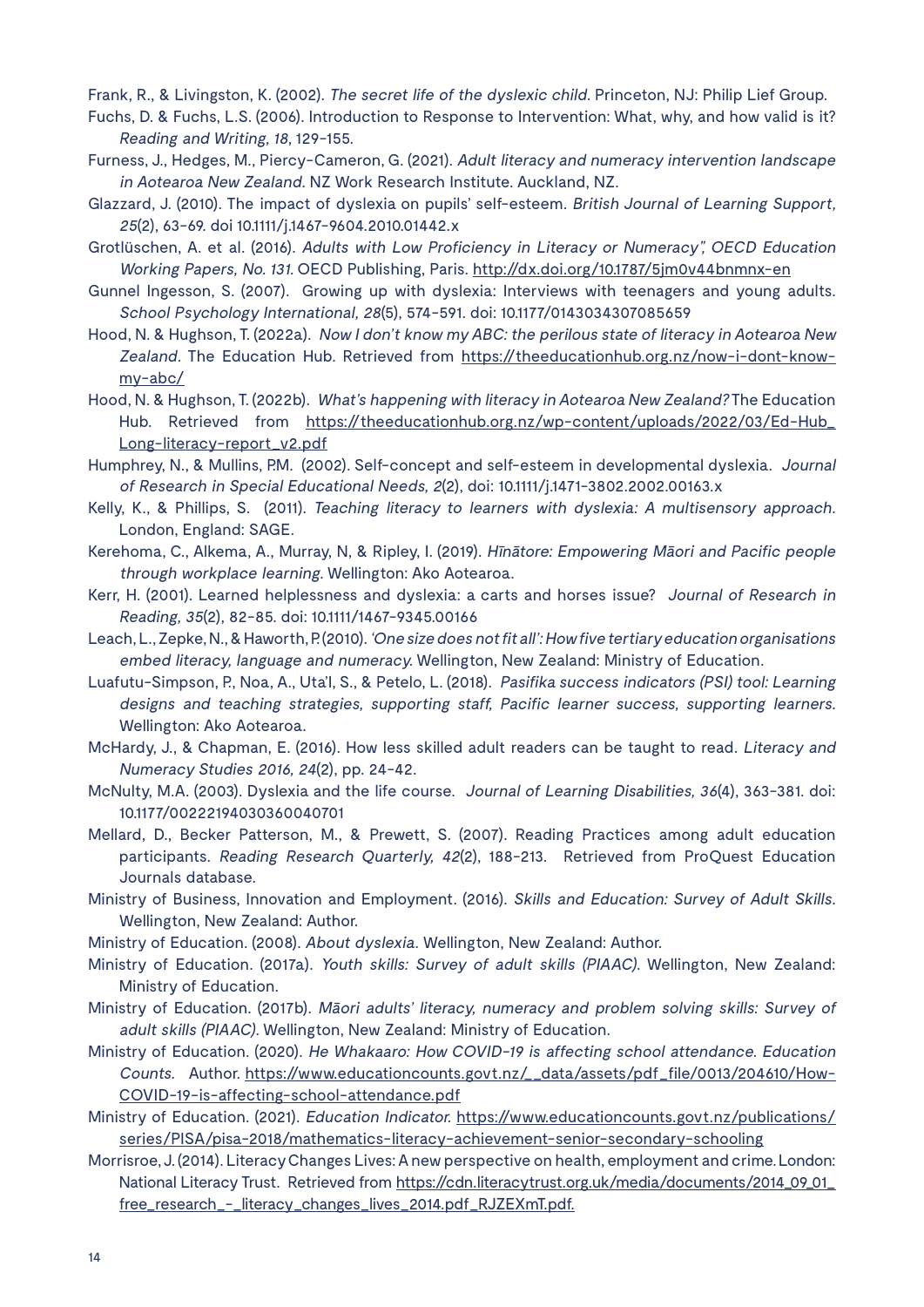Frank, R., & Livingston, K. (2002). The secret life of the dyslexic child. Princeton, NJ: Philip Lief Group.

Fuchs, D. & Fuchs, L.S. (2006). Introduction to Response to Intervention: What, why, and how valid is it? Reading and Writing, 18, 129-155.

- Furness, J., Hedges, M., Piercy-Cameron, G. (2021). Adult literacy and numeracy intervention landscape in Aotearoa New Zealand. NZ Work Research Institute. Auckland, NZ.
- Glazzard, J. (2010). The impact of dyslexia on pupils' self-esteem. British Journal of Learning Support, <sup>25</sup>(2), 63-69. doi 10.1111/j.1467-9604.2010.01442.x
- Grotlüschen, A. et al. (2016). Adults with Low Proficiency in Literacy or Numeracy", OECD Education Working Papers, No. 131. OECD Publishing, Paris. http://dx.doi.org/10.1787/5jm0v44bnmnx-en
- Gunnel Ingesson, S. (2007). Growing up with dyslexia: Interviews with teenagers and young adults. School Psychology International, 28(5), 574-591. doi: 10.1177/0143034307085659
- Hood, N. & Hughson, T. (2022a). Now I don't know my ABC: the perilous state of literacy in Aotearoa New Zealand. The Education Hub. Retrieved from https://theeducationhub.org.nz/now-i-dont-knowmy-abc/
- Hood, N. & Hughson, T. (2022b). What's happening with literacy in Aotearoa New Zealand? The Education Hub. Retrieved from https://theeducationhub.org.nz/wp-content/uploads/2022/03/Ed-Hub\_ Long-literacy-report\_v2.pdf
- Humphrey, N., & Mullins, P.M. (2002). Self-concept and self-esteem in developmental dyslexia. Journal of Research in Special Educational Needs, 2(2), doi: 10.1111/j.1471-3802.2002.00163.x
- Kelly, K., & Phillips, S. (2011). Teaching literacy to learners with dyslexia: A multisensory approach. London, England: SAGE.
- Kerehoma, C., Alkema, A., Murray, N, & Ripley, I. (2019). Hīnātore: Empowering Māori and Pacific people through workplace learning. Wellington: Ako Aotearoa.
- Kerr, H. (2001). Learned helplessness and dyslexia: a carts and horses issue? Journal of Research in Reading, 35(2), 82-85. doi: 10.1111/1467-9345.00166
- Leach, L., Zepke, N., & Haworth, P. (2010). 'One size does not fit all': How five tertiary education organisations embed literacy, language and numeracy. Wellington, New Zealand: Ministry of Education.
- Luafutu-Simpson, P., Noa, A., Uta'I, S., & Petelo, L. (2018). Pasifika success indicators (PSI) tool: Learning designs and teaching strategies, supporting staff, Pacific learner success, supporting learners. Wellington: Ako Aotearoa.
- McHardy, J., & Chapman, E. (2016). How less skilled adult readers can be taught to read. Literacy and Numeracy Studies 2016, 24(2), pp. 24-42.
- McNulty, M.A. (2003). Dyslexia and the life course. Journal of Learning Disabilities, 36(4), 363-381. doi: 10.1177/00222194030360040701
- Mellard, D., Becker Patterson, M., & Prewett, S. (2007). Reading Practices among adult education participants. Reading Research Quarterly, 42(2), 188-213. Retrieved from ProQuest Education Journals database.
- Ministry of Business, Innovation and Employment. (2016). Skills and Education: Survey of Adult Skills. Wellington, New Zealand: Author.
- Ministry of Education. (2008). About dyslexia. Wellington, New Zealand: Author.
- Ministry of Education. (2017a). Youth skills: Survey of adult skills (PIAAC). Wellington, New Zealand: Ministry of Education.
- Ministry of Education. (2017b). Māori adults' literacy, numeracy and problem solving skills: Survey of adult skills (PIAAC). Wellington, New Zealand: Ministry of Education.
- Ministry of Education. (2020). He Whakaaro: How COVID-19 is affecting school attendance. Education Counts. Author. https://www.educationcounts.govt.nz/\_\_data/assets/pdf\_file/0013/204610/How-COVID-19-is-affecting-school-attendance.pdf
- Ministry of Education. (2021). Education Indicator. https://www.educationcounts.govt.nz/publications/ series/PISA/pisa-2018/mathematics-literacy-achievement-senior-secondary-schooling
- Morrisroe, J. (2014). Literacy Changes Lives: A new perspective on health, employment and crime. London: National Literacy Trust. Retrieved from https://cdn.literacytrust.org.uk/media/documents/2014\_09\_01\_ free\_research\_-\_literacy\_changes\_lives\_2014.pdf\_RJZEXmT.pdf.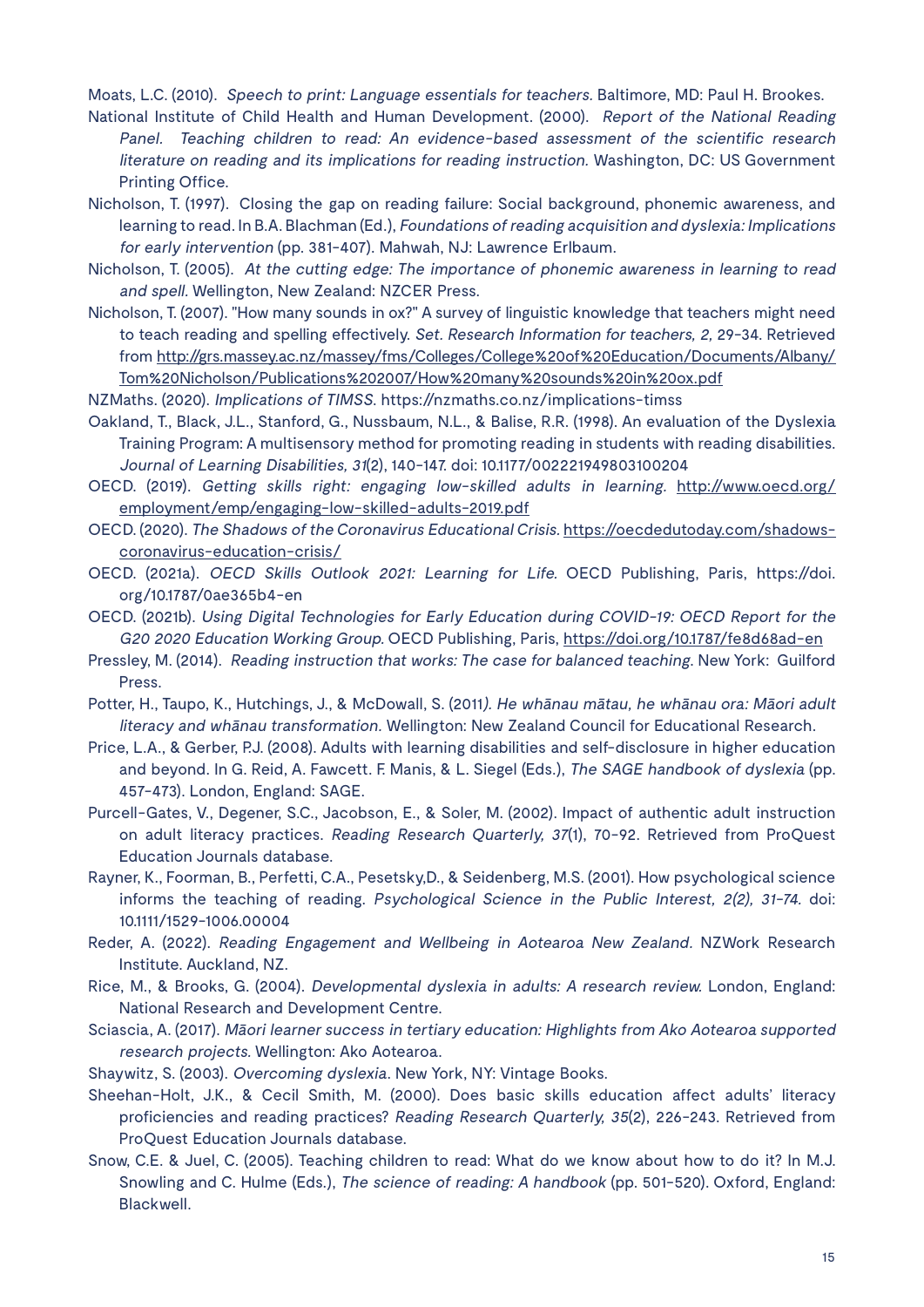Moats, L.C. (2010). Speech to print: Language essentials for teachers. Baltimore, MD: Paul H. Brookes.

- National Institute of Child Health and Human Development. (2000). Report of the National Reading Panel. Teaching children to read: An evidence-based assessment of the scientific research literature on reading and its implications for reading instruction. Washington, DC: US Government Printing Office.
- Nicholson, T. (1997). Closing the gap on reading failure: Social background, phonemic awareness, and learning to read. In B.A. Blachman (Ed.), Foundations of reading acquisition and dyslexia: Implications for early intervention (pp. 381-407). Mahwah, NJ: Lawrence Erlbaum.
- Nicholson, T. (2005). At the cutting edge: The importance of phonemic awareness in learning to read and spell. Wellington, New Zealand: NZCER Press.
- Nicholson, T. (2007). "How many sounds in ox?" A survey of linguistic knowledge that teachers might need to teach reading and spelling effectively. Set. Research Information for teachers, 2, 29-34. Retrieved from http://grs.massey.ac.nz/massey/fms/Colleges/College%20of%20Education/Documents/Albany/ Tom%20Nicholson/Publications%202007/How%20many%20sounds%20in%20ox.pdf

NZMaths. (2020). Implications of TIMSS. https://nzmaths.co.nz/implications-timss

- Oakland, T., Black, J.L., Stanford, G., Nussbaum, N.L., & Balise, R.R. (1998). An evaluation of the Dyslexia Training Program: A multisensory method for promoting reading in students with reading disabilities. Journal of Learning Disabilities, 31(2), 140-147. doi: 10.1177/002221949803100204
- OECD. (2019). Getting skills right: engaging low-skilled adults in learning. http://www.oecd.org/ employment/emp/engaging-low-skilled-adults-2019.pdf
- OECD. (2020). The Shadows of the Coronavirus Educational Crisis. https://oecdedutoday.com/shadowscoronavirus-education-crisis/
- OECD. (2021a). OECD Skills Outlook 2021: Learning for Life. OECD Publishing, Paris, https://doi. org/10.1787/0ae365b4-en
- OECD. (2021b). Using Digital Technologies for Early Education during COVID-19: OECD Report for the G20 2020 Education Working Group. OECD Publishing, Paris, https://doi.org/10.1787/fe8d68ad-en
- Pressley, M. (2014). Reading instruction that works: The case for balanced teaching. New York: Guilford Press.
- Potter, H., Taupo, K., Hutchings, J., & McDowall, S. (2011). He whānau mātau, he whānau ora: Māori adult literacy and whānau transformation. Wellington: New Zealand Council for Educational Research.
- Price, L.A., & Gerber, P.J. (2008). Adults with learning disabilities and self-disclosure in higher education and beyond. In G. Reid, A. Fawcett. F. Manis, & L. Siegel (Eds.), The SAGE handbook of dyslexia (pp. 457-473). London, England: SAGE.
- Purcell-Gates, V., Degener, S.C., Jacobson, E., & Soler, M. (2002). Impact of authentic adult instruction on adult literacy practices. Reading Research Quarterly, 37(1), 70-92. Retrieved from ProQuest Education Journals database.
- Rayner, K., Foorman, B., Perfetti, C.A., Pesetsky,D., & Seidenberg, M.S. (2001). How psychological science informs the teaching of reading. Psychological Science in the Public Interest, 2(2), 31-74. doi: 10.1111/1529-1006.00004
- Reder, A. (2022). Reading Engagement and Wellbeing in Aotearoa New Zealand. NZWork Research Institute. Auckland, NZ.
- Rice, M., & Brooks, G. (2004). Developmental dyslexia in adults: A research review. London, England: National Research and Development Centre.
- Sciascia, A. (2017). Māori learner success in tertiary education: Highlights from Ako Aotearoa supported research projects. Wellington: Ako Aotearoa.
- Shaywitz, S. (2003). Overcoming dyslexia. New York, NY: Vintage Books.
- Sheehan-Holt, J.K., & Cecil Smith, M. (2000). Does basic skills education affect adults' literacy proficiencies and reading practices? Reading Research Quarterly, 35(2), 226-243. Retrieved from ProQuest Education Journals database.
- Snow, C.E. & Juel, C. (2005). Teaching children to read: What do we know about how to do it? In M.J. Snowling and C. Hulme (Eds.), The science of reading: A handbook (pp. 501-520). Oxford, England: Blackwell.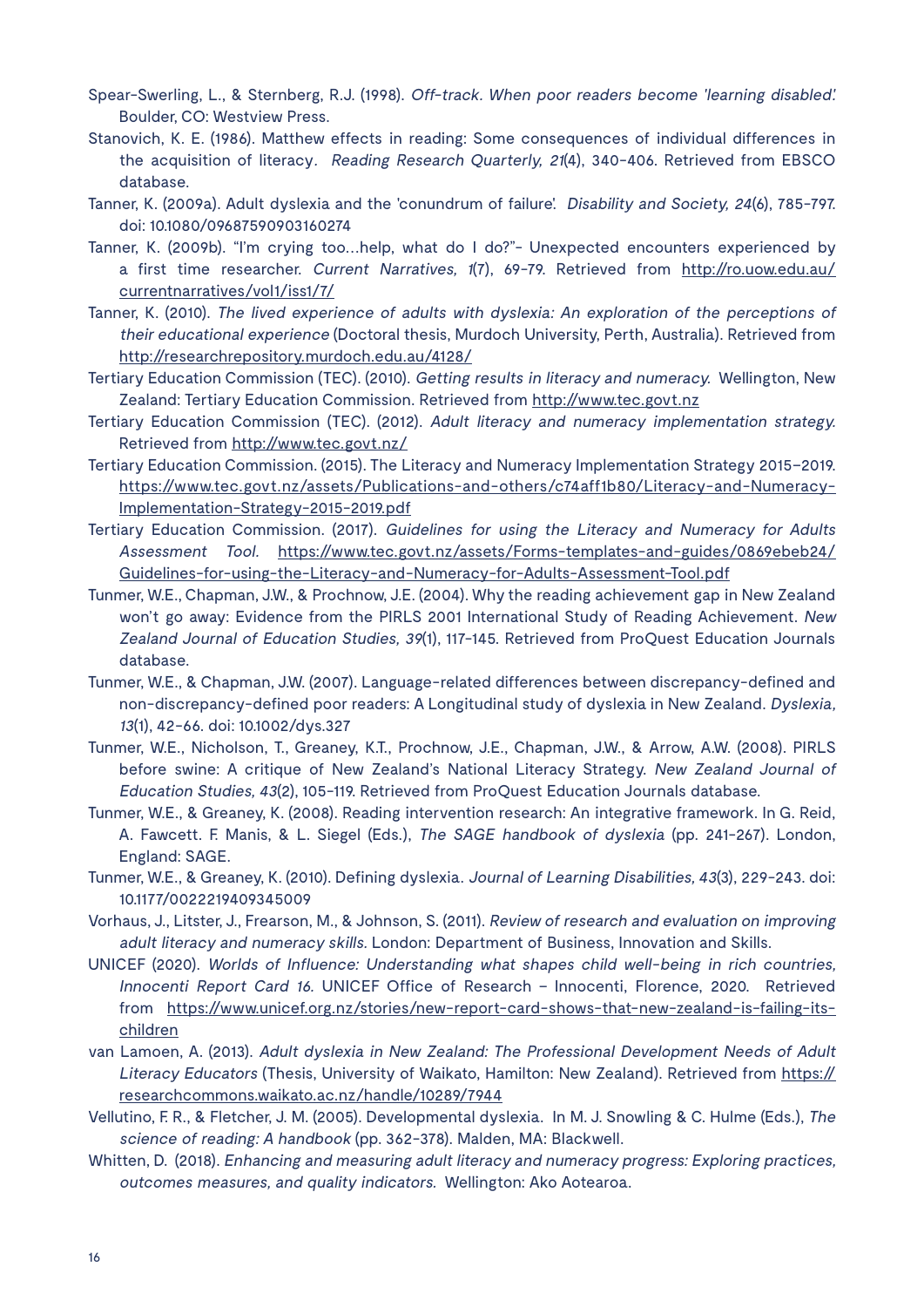- Spear-Swerling, L., & Sternberg, R.J. (1998). Off-track. When poor readers become 'learning disabled'. Boulder, CO: Westview Press.
- Stanovich, K. E. (1986). Matthew effects in reading: Some consequences of individual differences in the acquisition of literacy. Reading Research Quarterly, 21(4), 340-406. Retrieved from EBSCO database.
- Tanner, K. (2009a). Adult dyslexia and the 'conundrum of failure'. Disability and Society, 24(6), 785-797. doi: 10.1080/09687590903160274
- Tanner, K. (2009b). "I'm crying too…help, what do I do?"- Unexpected encounters experienced by a first time researcher. Current Narratives, 1(7), 69-79. Retrieved from http://ro.uow.edu.au/ currentnarratives/vol1/iss1/7/
- Tanner, K. (2010). The lived experience of adults with dyslexia: An exploration of the perceptions of their educational experience (Doctoral thesis, Murdoch University, Perth, Australia). Retrieved from http://researchrepository.murdoch.edu.au/4128/
- Tertiary Education Commission (TEC). (2010). Getting results in literacy and numeracy. Wellington, New Zealand: Tertiary Education Commission. Retrieved from http://www.tec.govt.nz
- Tertiary Education Commission (TEC). (2012). Adult literacy and numeracy implementation strategy. Retrieved from http://www.tec.govt.nz/
- Tertiary Education Commission. (2015). The Literacy and Numeracy Implementation Strategy 2015–2019. https://www.tec.govt.nz/assets/Publications-and-others/c74aff1b80/Literacy-and-Numeracy-Implementation-Strategy-2015-2019.pdf
- Tertiary Education Commission. (2017). Guidelines for using the Literacy and Numeracy for Adults Assessment Tool. https://www.tec.govt.nz/assets/Forms-templates-and-guides/0869ebeb24/ Guidelines-for-using-the-Literacy-and-Numeracy-for-Adults-Assessment-Tool.pdf
- Tunmer, W.E., Chapman, J.W., & Prochnow, J.E. (2004). Why the reading achievement gap in New Zealand won't go away: Evidence from the PIRLS 2001 International Study of Reading Achievement. New Zealand Journal of Education Studies, 39(1), 117-145. Retrieved from ProQuest Education Journals database.
- Tunmer, W.E., & Chapman, J.W. (2007). Language-related differences between discrepancy-defined and non-discrepancy-defined poor readers: A Longitudinal study of dyslexia in New Zealand. Dyslexia, <sup>13</sup>(1), 42-66. doi: 10.1002/dys.327
- Tunmer, W.E., Nicholson, T., Greaney, K.T., Prochnow, J.E., Chapman, J.W., & Arrow, A.W. (2008). PIRLS before swine: A critique of New Zealand's National Literacy Strategy. New Zealand Journal of Education Studies, 43(2), 105-119. Retrieved from ProQuest Education Journals database.
- Tunmer, W.E., & Greaney, K. (2008). Reading intervention research: An integrative framework. In G. Reid, A. Fawcett. F. Manis, & L. Siegel (Eds.), The SAGE handbook of dyslexia (pp. 241-267). London, England: SAGE.
- Tunmer, W.E., & Greaney, K. (2010). Defining dyslexia. Journal of Learning Disabilities, 43(3), 229-243. doi: 10.1177/0022219409345009
- Vorhaus, J., Litster, J., Frearson, M., & Johnson, S. (2011). Review of research and evaluation on improving adult literacy and numeracy skills. London: Department of Business, Innovation and Skills.
- UNICEF (2020). Worlds of Influence: Understanding what shapes child well-being in rich countries, Innocenti Report Card 16. UNICEF Office of Research – Innocenti, Florence, 2020. Retrieved from https://www.unicef.org.nz/stories/new-report-card-shows-that-new-zealand-is-failing-itschildren
- van Lamoen, A. (2013). Adult dyslexia in New Zealand: The Professional Development Needs of Adult Literacy Educators (Thesis, University of Waikato, Hamilton: New Zealand). Retrieved from https:// researchcommons.waikato.ac.nz/handle/10289/7944
- Vellutino, F. R., & Fletcher, J. M. (2005). Developmental dyslexia. In M. J. Snowling & C. Hulme (Eds.), The science of reading: A handbook (pp. 362-378). Malden, MA: Blackwell.
- Whitten, D. (2018). Enhancing and measuring adult literacy and numeracy progress: Exploring practices, outcomes measures, and quality indicators. Wellington: Ako Aotearoa.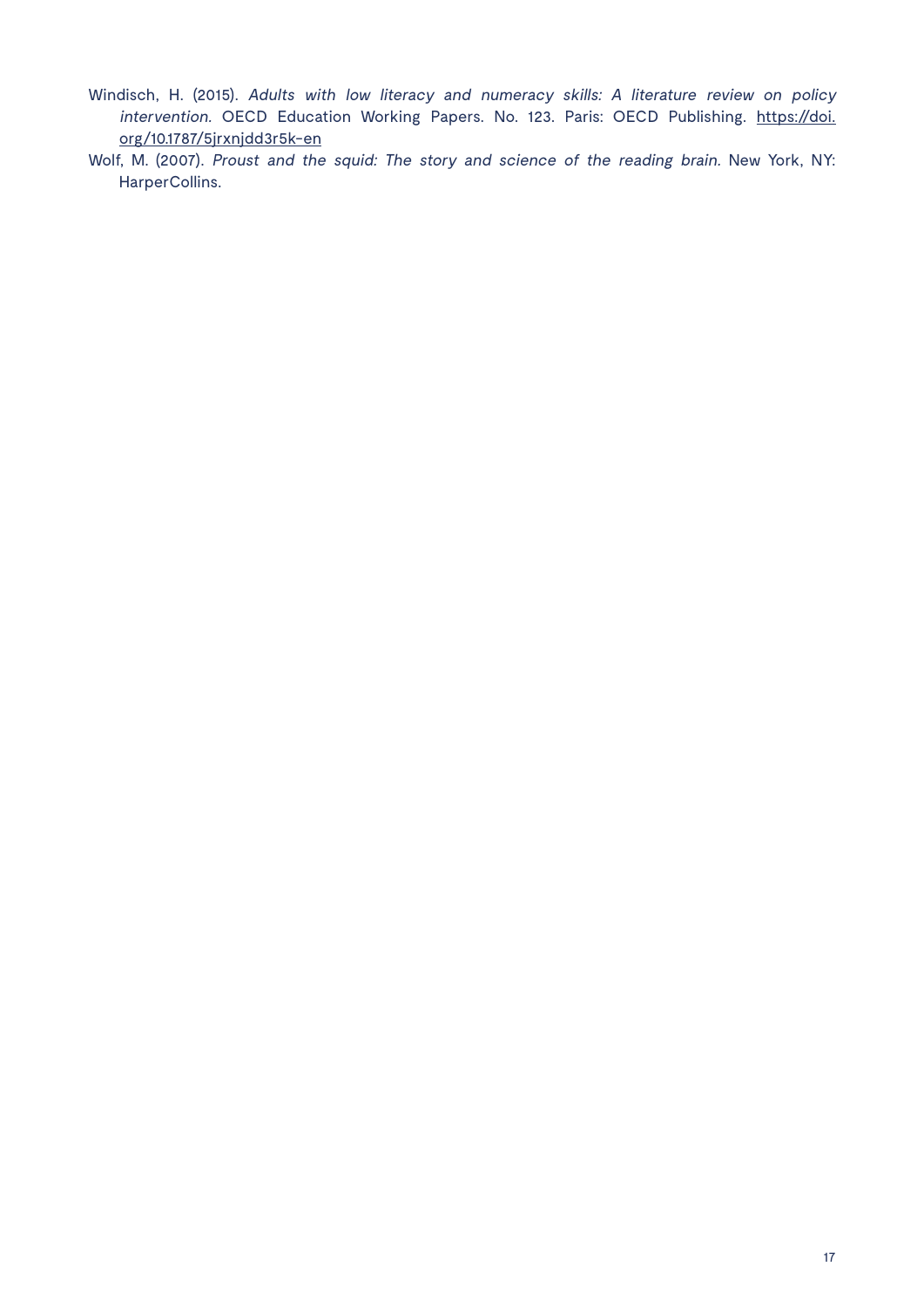- Windisch, H. (2015). Adults with low literacy and numeracy skills: A literature review on policy intervention. OECD Education Working Papers. No. 123. Paris: OECD Publishing. https://doi. org/10.1787/5jrxnjdd3r5k-en
- Wolf, M. (2007). Proust and the squid: The story and science of the reading brain. New York, NY: HarperCollins.